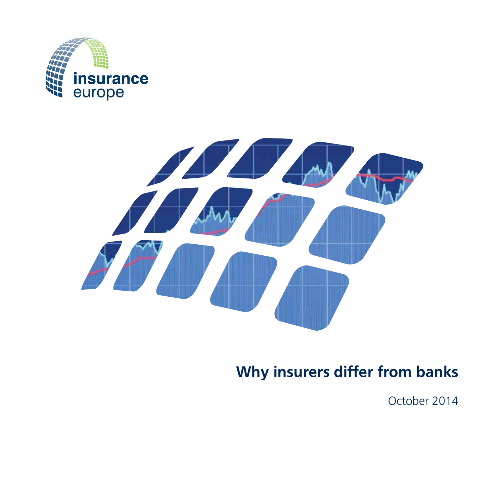



# **Why insurers differ from banks**

October 2014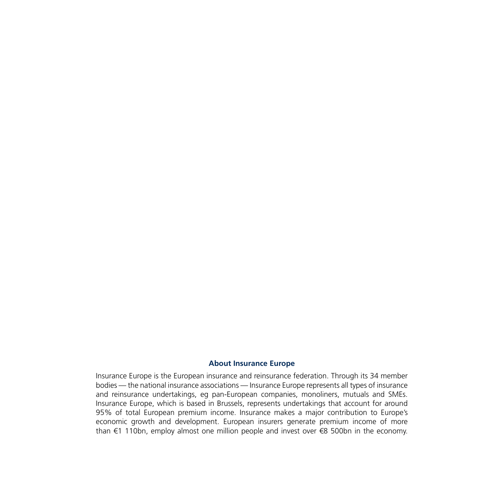#### **About Insurance Europe**

Insurance Europe is the European insurance and reinsurance federation. Through its 34 member bodies — the national insurance associations — Insurance Europe represents all types of insurance and reinsurance undertakings, eg pan-European companies, monoliners, mutuals and SMEs. Insurance Europe, which is based in Brussels, represents undertakings that account for around 95% of total European premium income. Insurance makes a major contribution to Europe's economic growth and development. European insurers generate premium income of more than €1 110bn, employ almost one million people and invest over €8 500bn in the economy.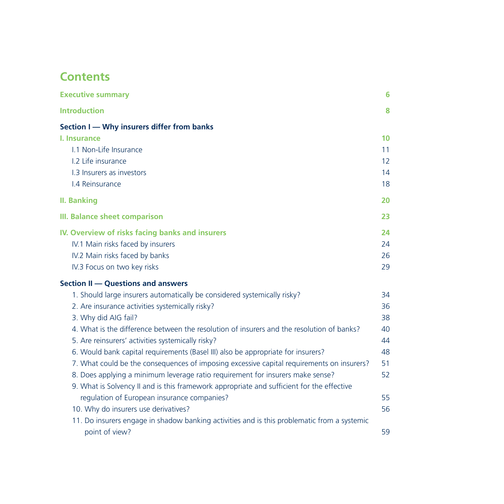## **Contents**

| <b>Executive summary</b>                                                                    | 6  |
|---------------------------------------------------------------------------------------------|----|
| <b>Introduction</b>                                                                         | 8  |
| Section I - Why insurers differ from banks                                                  |    |
| I. Insurance                                                                                | 10 |
| 1.1 Non-Life Insurance                                                                      | 11 |
| 1.2 Life insurance                                                                          | 12 |
| 1.3 Insurers as investors                                                                   | 14 |
| I.4 Reinsurance                                                                             | 18 |
| <b>II. Banking</b>                                                                          | 20 |
| <b>III. Balance sheet comparison</b>                                                        | 23 |
| IV. Overview of risks facing banks and insurers                                             | 24 |
| IV.1 Main risks faced by insurers                                                           | 24 |
| IV.2 Main risks faced by banks                                                              | 26 |
| IV.3 Focus on two key risks                                                                 | 29 |
| Section II - Questions and answers                                                          |    |
| 1. Should large insurers automatically be considered systemically risky?                    | 34 |
| 2. Are insurance activities systemically risky?                                             | 36 |
| 3. Why did AIG fail?                                                                        | 38 |
| 4. What is the difference between the resolution of insurers and the resolution of banks?   | 40 |
| 5. Are reinsurers' activities systemically risky?                                           | 44 |
| 6. Would bank capital requirements (Basel III) also be appropriate for insurers?            | 48 |
| 7. What could be the consequences of imposing excessive capital requirements on insurers?   | 51 |
| 8. Does applying a minimum leverage ratio requirement for insurers make sense?              | 52 |
| 9. What is Solvency II and is this framework appropriate and sufficient for the effective   |    |
| regulation of European insurance companies?                                                 | 55 |
| 10. Why do insurers use derivatives?                                                        | 56 |
| 11. Do insurers engage in shadow banking activities and is this problematic from a systemic |    |
| point of view?                                                                              | 59 |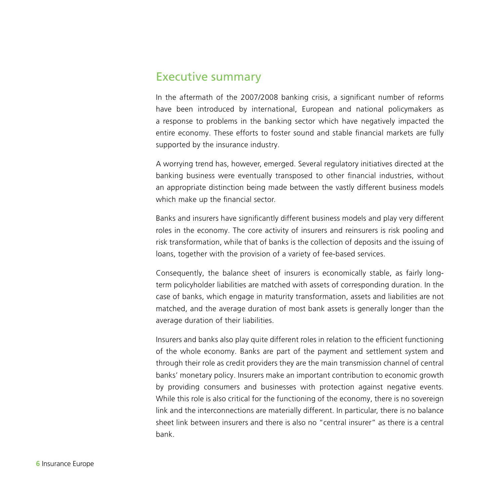### Executive summary

In the aftermath of the 2007/2008 banking crisis, a significant number of reforms have been introduced by international, European and national policymakers as a response to problems in the banking sector which have negatively impacted the entire economy. These efforts to foster sound and stable financial markets are fully supported by the insurance industry.

A worrying trend has, however, emerged. Several regulatory initiatives directed at the banking business were eventually transposed to other financial industries, without an appropriate distinction being made between the vastly different business models which make up the financial sector.

Banks and insurers have significantly different business models and play very different roles in the economy. The core activity of insurers and reinsurers is risk pooling and risk transformation, while that of banks is the collection of deposits and the issuing of loans, together with the provision of a variety of fee-based services.

Consequently, the balance sheet of insurers is economically stable, as fairly longterm policyholder liabilities are matched with assets of corresponding duration. In the case of banks, which engage in maturity transformation, assets and liabilities are not matched, and the average duration of most bank assets is generally longer than the average duration of their liabilities.

Insurers and banks also play quite different roles in relation to the efficient functioning of the whole economy. Banks are part of the payment and settlement system and through their role as credit providers they are the main transmission channel of central banks' monetary policy. Insurers make an important contribution to economic growth by providing consumers and businesses with protection against negative events. While this role is also critical for the functioning of the economy, there is no sovereign link and the interconnections are materially different. In particular, there is no balance sheet link between insurers and there is also no "central insurer" as there is a central bank.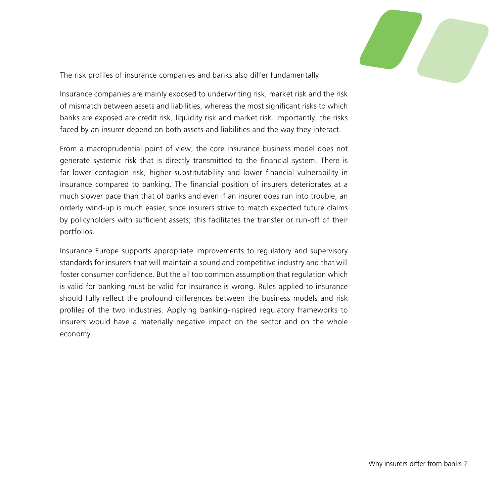

The risk profiles of insurance companies and banks also differ fundamentally.

Insurance companies are mainly exposed to underwriting risk, market risk and the risk of mismatch between assets and liabilities, whereas the most significant risks to which banks are exposed are credit risk, liquidity risk and market risk. Importantly, the risks faced by an insurer depend on both assets and liabilities and the way they interact.

From a macroprudential point of view, the core insurance business model does not generate systemic risk that is directly transmitted to the financial system. There is far lower contagion risk, higher substitutability and lower financial vulnerability in insurance compared to banking. The financial position of insurers deteriorates at a much slower pace than that of banks and even if an insurer does run into trouble, an orderly wind-up is much easier, since insurers strive to match expected future claims by policyholders with sufficient assets; this facilitates the transfer or run-off of their portfolios.

Insurance Europe supports appropriate improvements to regulatory and supervisory standards for insurers that will maintain a sound and competitive industry and that will foster consumer confidence. But the all too common assumption that regulation which is valid for banking must be valid for insurance is wrong. Rules applied to insurance should fully reflect the profound differences between the business models and risk profiles of the two industries. Applying banking-inspired regulatory frameworks to insurers would have a materially negative impact on the sector and on the whole economy.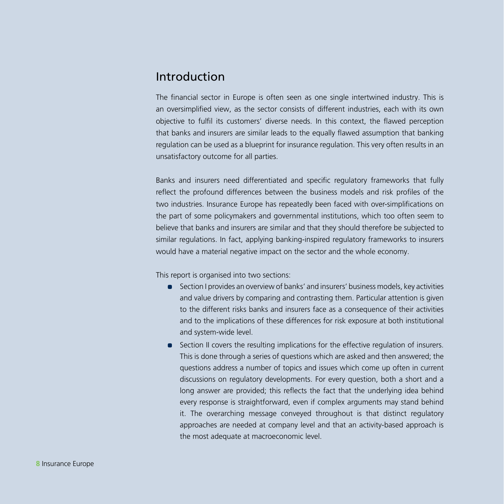### Introduction

The financial sector in Europe is often seen as one single intertwined industry. This is an oversimplified view, as the sector consists of different industries, each with its own objective to fulfil its customers' diverse needs. In this context, the flawed perception that banks and insurers are similar leads to the equally flawed assumption that banking regulation can be used as a blueprint for insurance regulation. This very often results in an unsatisfactory outcome for all parties.

Banks and insurers need differentiated and specific regulatory frameworks that fully reflect the profound differences between the business models and risk profiles of the two industries. Insurance Europe has repeatedly been faced with over-simplifications on the part of some policymakers and governmental institutions, which too often seem to believe that banks and insurers are similar and that they should therefore be subjected to similar regulations. In fact, applying banking-inspired regulatory frameworks to insurers would have a material negative impact on the sector and the whole economy.

This report is organised into two sections:

- Section I provides an overview of banks' and insurers' business models, key activities and value drivers by comparing and contrasting them. Particular attention is given to the different risks banks and insurers face as a consequence of their activities and to the implications of these differences for risk exposure at both institutional and system-wide level.
- **•** Section II covers the resulting implications for the effective regulation of insurers. This is done through a series of questions which are asked and then answered; the questions address a number of topics and issues which come up often in current discussions on regulatory developments. For every question, both a short and a long answer are provided; this reflects the fact that the underlying idea behind every response is straightforward, even if complex arguments may stand behind it. The overarching message conveyed throughout is that distinct regulatory approaches are needed at company level and that an activity-based approach is the most adequate at macroeconomic level.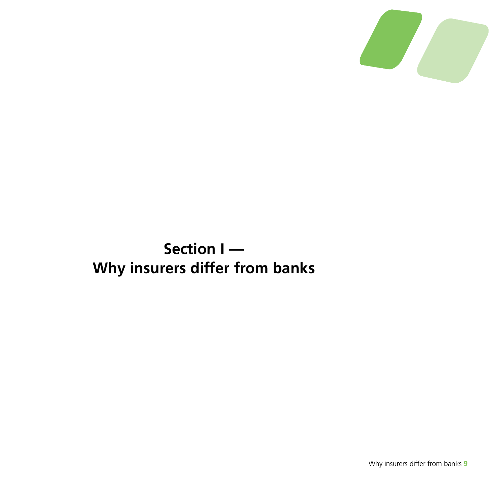

# **Section I — Why insurers differ from banks**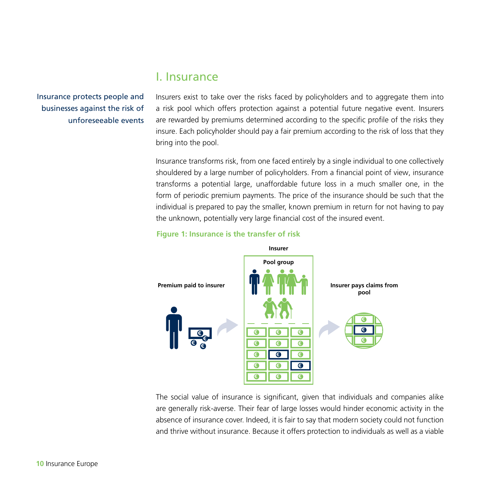### I. Insurance

Insurance protects people and businesses against the risk of unforeseeable events

Insurers exist to take over the risks faced by policyholders and to aggregate them into a risk pool which offers protection against a potential future negative event. Insurers are rewarded by premiums determined according to the specific profile of the risks they insure. Each policyholder should pay a fair premium according to the risk of loss that they bring into the pool.

Insurance transforms risk, from one faced entirely by a single individual to one collectively shouldered by a large number of policyholders. From a financial point of view, insurance transforms a potential large, unaffordable future loss in a much smaller one, in the form of periodic premium payments. The price of the insurance should be such that the individual is prepared to pay the smaller, known premium in return for not having to pay the unknown, potentially very large financial cost of the insured event.



#### **Figure 1: Insurance is the transfer of risk**

The social value of insurance is significant, given that individuals and companies alike are generally risk-averse. Their fear of large losses would hinder economic activity in the absence of insurance cover. Indeed, it is fair to say that modern society could not function and thrive without insurance. Because it offers protection to individuals as well as a viable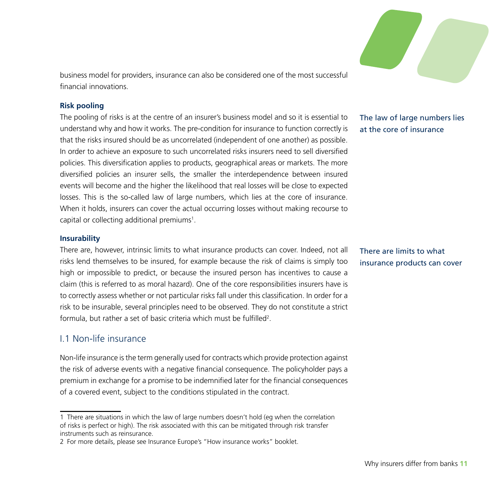

business model for providers, insurance can also be considered one of the most successful financial innovations.

#### **Risk pooling**

The pooling of risks is at the centre of an insurer's business model and so it is essential to understand why and how it works. The pre-condition for insurance to function correctly is that the risks insured should be as uncorrelated (independent of one another) as possible. In order to achieve an exposure to such uncorrelated risks insurers need to sell diversified policies. This diversification applies to products, geographical areas or markets. The more diversified policies an insurer sells, the smaller the interdependence between insured events will become and the higher the likelihood that real losses will be close to expected losses. This is the so-called law of large numbers, which lies at the core of insurance. When it holds, insurers can cover the actual occurring losses without making recourse to capital or collecting additional premiums<sup>1</sup>.

#### **Insurability**

There are, however, intrinsic limits to what insurance products can cover. Indeed, not all risks lend themselves to be insured, for example because the risk of claims is simply too high or impossible to predict, or because the insured person has incentives to cause a claim (this is referred to as moral hazard). One of the core responsibilities insurers have is to correctly assess whether or not particular risks fall under this classification. In order for a risk to be insurable, several principles need to be observed. They do not constitute a strict formula, but rather a set of basic criteria which must be fulfilled<sup>2</sup>.

#### I.1 Non-life insurance

Non-life insurance is the term generally used for contracts which provide protection against the risk of adverse events with a negative financial consequence. The policyholder pays a premium in exchange for a promise to be indemnified later for the financial consequences of a covered event, subject to the conditions stipulated in the contract.

#### The law of large numbers lies at the core of insurance

There are limits to what insurance products can cover

<sup>1</sup> There are situations in which the law of large numbers doesn't hold (eg when the correlation of risks is perfect or high). The risk associated with this can be mitigated through risk transfer instruments such as reinsurance.

<sup>2</sup> For more details, please see Insurance Europe's "How insurance works" booklet.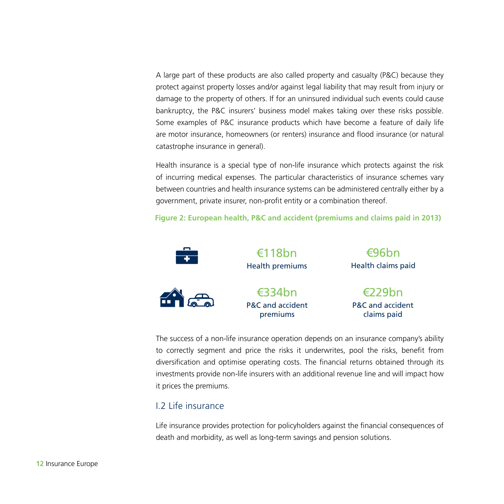A large part of these products are also called property and casualty (P&C) because they protect against property losses and/or against legal liability that may result from injury or damage to the property of others. If for an uninsured individual such events could cause bankruptcy, the P&C insurers' business model makes taking over these risks possible. Some examples of P&C insurance products which have become a feature of daily life are motor insurance, homeowners (or renters) insurance and flood insurance (or natural catastrophe insurance in general).

Health insurance is a special type of non-life insurance which protects against the risk of incurring medical expenses. The particular characteristics of insurance schemes vary between countries and health insurance systems can be administered centrally either by a government, private insurer, non-profit entity or a combination thereof.

**Figure 2: European health, P&C and accident (premiums and claims paid in 2013)** 



The success of a non-life insurance operation depends on an insurance company's ability to correctly segment and price the risks it underwrites, pool the risks, benefit from diversification and optimise operating costs. The financial returns obtained through its investments provide non-life insurers with an additional revenue line and will impact how it prices the premiums.

#### I.2 Life insurance

Life insurance provides protection for policyholders against the financial consequences of death and morbidity, as well as long-term savings and pension solutions.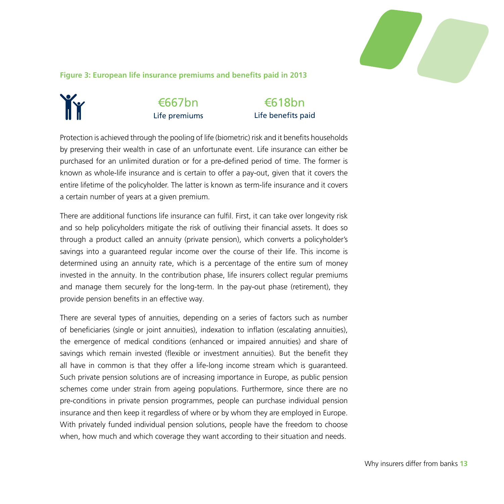

**Figure 3: European life insurance premiums and benefits paid in 2013** 

#### €667bn ĬÝ Life premiums

€618bn Life benefits paid

Protection is achieved through the pooling of life (biometric) risk and it benefits households by preserving their wealth in case of an unfortunate event. Life insurance can either be purchased for an unlimited duration or for a pre-defined period of time. The former is known as whole-life insurance and is certain to offer a pay-out, given that it covers the entire lifetime of the policyholder. The latter is known as term-life insurance and it covers a certain number of years at a given premium.

There are additional functions life insurance can fulfil. First, it can take over longevity risk and so help policyholders mitigate the risk of outliving their financial assets. It does so through a product called an annuity (private pension), which converts a policyholder's savings into a guaranteed regular income over the course of their life. This income is determined using an annuity rate, which is a percentage of the entire sum of money invested in the annuity. In the contribution phase, life insurers collect regular premiums and manage them securely for the long-term. In the pay-out phase (retirement), they provide pension benefits in an effective way.

There are several types of annuities, depending on a series of factors such as number of beneficiaries (single or joint annuities), indexation to inflation (escalating annuities), the emergence of medical conditions (enhanced or impaired annuities) and share of savings which remain invested (flexible or investment annuities). But the benefit they all have in common is that they offer a life-long income stream which is guaranteed. Such private pension solutions are of increasing importance in Europe, as public pension schemes come under strain from ageing populations. Furthermore, since there are no pre-conditions in private pension programmes, people can purchase individual pension insurance and then keep it regardless of where or by whom they are employed in Europe. With privately funded individual pension solutions, people have the freedom to choose when, how much and which coverage they want according to their situation and needs.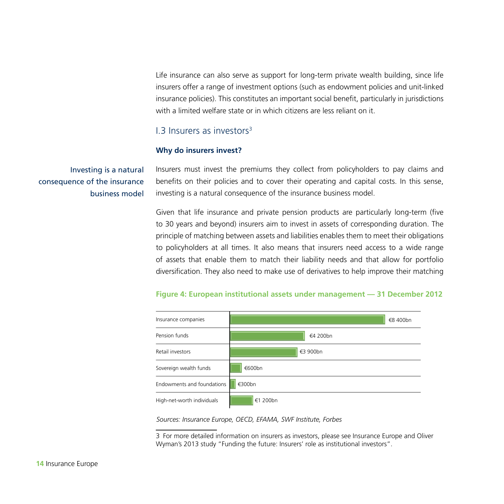Life insurance can also serve as support for long-term private wealth building, since life insurers offer a range of investment options (such as endowment policies and unit-linked insurance policies). This constitutes an important social benefit, particularly in jurisdictions with a limited welfare state or in which citizens are less reliant on it.

#### I.3 Insurers as investors3

#### **Why do insurers invest?**

Investing is a natural consequence of the insurance business model Insurers must invest the premiums they collect from policyholders to pay claims and benefits on their policies and to cover their operating and capital costs. In this sense, investing is a natural consequence of the insurance business model.

Given that life insurance and private pension products are particularly long-term (five to 30 years and beyond) insurers aim to invest in assets of corresponding duration. The principle of matching between assets and liabilities enables them to meet their obligations to policyholders at all times. It also means that insurers need access to a wide range of assets that enable them to match their liability needs and that allow for portfolio diversification. They also need to make use of derivatives to help improve their matching

#### **Figure 4: European institutional assets under management — 31 December 2012**



*Sources: Insurance Europe, OECD, EFAMA, SWF Institute, Forbes*

3 For more detailed information on insurers as investors, please see Insurance Europe and Oliver Wyman's 2013 study "Funding the future: Insurers' role as institutional investors".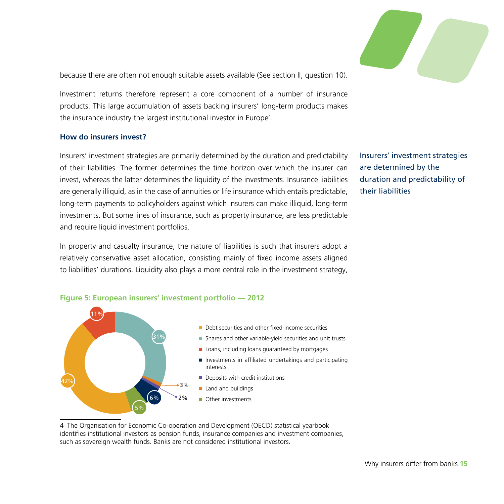

because there are often not enough suitable assets available (See section II, question 10).

Investment returns therefore represent a core component of a number of insurance products. This large accumulation of assets backing insurers' long-term products makes the insurance industry the largest institutional investor in Europe<sup>4</sup>.

#### **How do insurers invest?**

Insurers' investment strategies are primarily determined by the duration and predictability of their liabilities. The former determines the time horizon over which the insurer can invest, whereas the latter determines the liquidity of the investments. Insurance liabilities are generally illiquid, as in the case of annuities or life insurance which entails predictable, long-term payments to policyholders against which insurers can make illiquid, long-term investments. But some lines of insurance, such as property insurance, are less predictable and require liquid investment portfolios.

Insurers' investment strategies are determined by the duration and predictability of their liabilities

In property and casualty insurance, the nature of liabilities is such that insurers adopt a relatively conservative asset allocation, consisting mainly of fixed income assets aligned to liabilities' durations. Liquidity also plays a more central role in the investment strategy,



4 The Organisation for Economic Co-operation and Development (OECD) statistical yearbook identifies institutional investors as pension funds, insurance companies and investment companies, such as sovereign wealth funds. Banks are not considered institutional investors.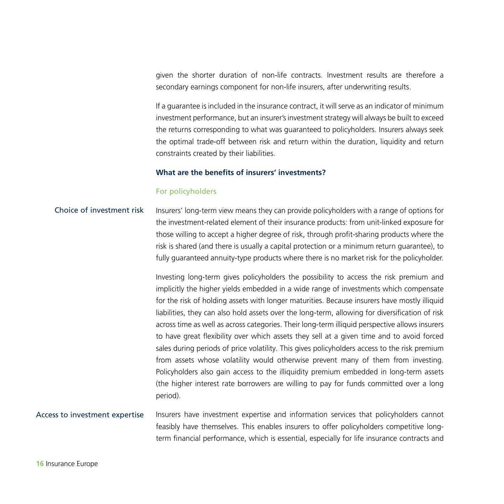given the shorter duration of non-life contracts. Investment results are therefore a secondary earnings component for non-life insurers, after underwriting results.

If a guarantee is included in the insurance contract, it will serve as an indicator of minimum investment performance, but an insurer's investment strategy will always be built to exceed the returns corresponding to what was guaranteed to policyholders. Insurers always seek the optimal trade-off between risk and return within the duration, liquidity and return constraints created by their liabilities.

#### **What are the benefits of insurers' investments?**

#### For policyholders

#### Insurers' long-term view means they can provide policyholders with a range of options for the investment-related element of their insurance products: from unit-linked exposure for those willing to accept a higher degree of risk, through profit-sharing products where the risk is shared (and there is usually a capital protection or a minimum return guarantee), to fully guaranteed annuity-type products where there is no market risk for the policyholder. Choice of investment risk

Investing long-term gives policyholders the possibility to access the risk premium and implicitly the higher yields embedded in a wide range of investments which compensate for the risk of holding assets with longer maturities. Because insurers have mostly illiquid liabilities, they can also hold assets over the long-term, allowing for diversification of risk across time as well as across categories. Their long-term illiquid perspective allows insurers to have great flexibility over which assets they sell at a given time and to avoid forced sales during periods of price volatility. This gives policyholders access to the risk premium from assets whose volatility would otherwise prevent many of them from investing. Policyholders also gain access to the illiquidity premium embedded in long-term assets (the higher interest rate borrowers are willing to pay for funds committed over a long period).

#### Insurers have investment expertise and information services that policyholders cannot feasibly have themselves. This enables insurers to offer policyholders competitive longterm financial performance, which is essential, especially for life insurance contracts and Access to investment expertise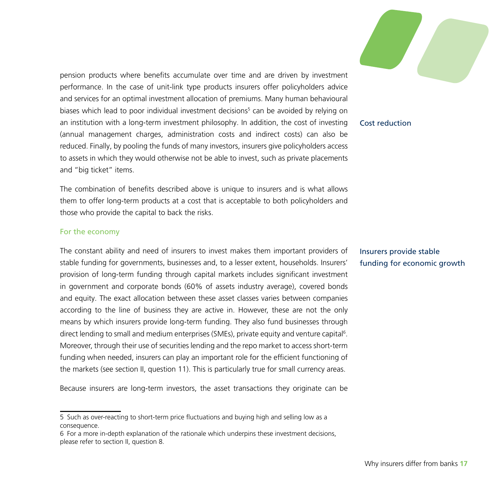pension products where benefits accumulate over time and are driven by investment performance. In the case of unit-link type products insurers offer policyholders advice and services for an optimal investment allocation of premiums. Many human behavioural biases which lead to poor individual investment decisions<sup>5</sup> can be avoided by relying on an institution with a long-term investment philosophy. In addition, the cost of investing (annual management charges, administration costs and indirect costs) can also be reduced. Finally, by pooling the funds of many investors, insurers give policyholders access to assets in which they would otherwise not be able to invest, such as private placements and "big ticket" items.

The combination of benefits described above is unique to insurers and is what allows them to offer long-term products at a cost that is acceptable to both policyholders and those who provide the capital to back the risks.

#### For the economy

The constant ability and need of insurers to invest makes them important providers of stable funding for governments, businesses and, to a lesser extent, households. Insurers' provision of long-term funding through capital markets includes significant investment in government and corporate bonds (60% of assets industry average), covered bonds and equity. The exact allocation between these asset classes varies between companies according to the line of business they are active in. However, these are not the only means by which insurers provide long-term funding. They also fund businesses through direct lending to small and medium enterprises (SMEs), private equity and venture capital<sup>6</sup>. Moreover, through their use of securities lending and the repo market to access short-term funding when needed, insurers can play an important role for the efficient functioning of the markets (see section II, question 11). This is particularly true for small currency areas.

Because insurers are long-term investors, the asset transactions they originate can be

#### Cost reduction

Insurers provide stable funding for economic growth

<sup>5</sup> Such as over-reacting to short-term price fluctuations and buying high and selling low as a consequence.

<sup>6</sup> For a more in-depth explanation of the rationale which underpins these investment decisions, please refer to section II, question 8.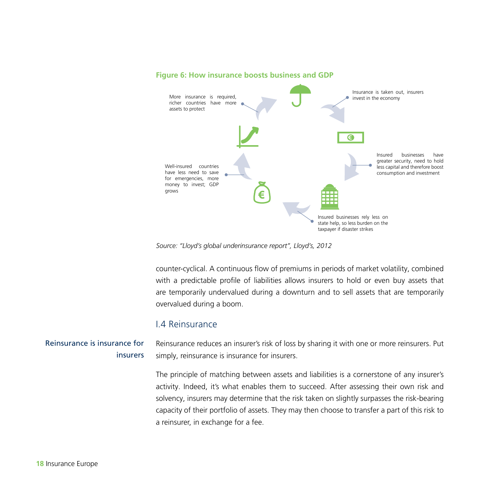

#### **Figure 6: How insurance boosts business and GDP**

*Source: "Lloyd's global underinsurance report", Lloyd's, 2012*

counter-cyclical. A continuous flow of premiums in periods of market volatility, combined with a predictable profile of liabilities allows insurers to hold or even buy assets that are temporarily undervalued during a downturn and to sell assets that are temporarily overvalued during a boom.

#### I.4 Reinsurance

Reinsurance reduces an insurer's risk of loss by sharing it with one or more reinsurers. Put simply, reinsurance is insurance for insurers. Reinsurance is insurance for insurers

> The principle of matching between assets and liabilities is a cornerstone of any insurer's activity. Indeed, it's what enables them to succeed. After assessing their own risk and solvency, insurers may determine that the risk taken on slightly surpasses the risk-bearing capacity of their portfolio of assets. They may then choose to transfer a part of this risk to a reinsurer, in exchange for a fee.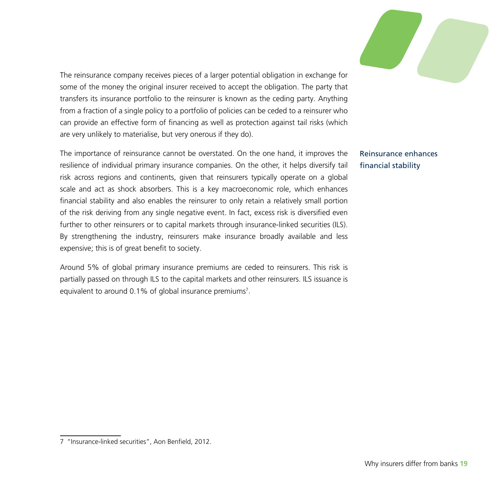

The reinsurance company receives pieces of a larger potential obligation in exchange for some of the money the original insurer received to accept the obligation. The party that transfers its insurance portfolio to the reinsurer is known as the ceding party. Anything from a fraction of a single policy to a portfolio of policies can be ceded to a reinsurer who can provide an effective form of financing as well as protection against tail risks (which are very unlikely to materialise, but very onerous if they do).

The importance of reinsurance cannot be overstated. On the one hand, it improves the resilience of individual primary insurance companies. On the other, it helps diversify tail risk across regions and continents, given that reinsurers typically operate on a global scale and act as shock absorbers. This is a key macroeconomic role, which enhances financial stability and also enables the reinsurer to only retain a relatively small portion of the risk deriving from any single negative event. In fact, excess risk is diversified even further to other reinsurers or to capital markets through insurance-linked securities (ILS). By strengthening the industry, reinsurers make insurance broadly available and less expensive; this is of great benefit to society.

Around 5% of global primary insurance premiums are ceded to reinsurers. This risk is partially passed on through ILS to the capital markets and other reinsurers. ILS issuance is equivalent to around 0.1% of global insurance premiums<sup>7</sup>.

Reinsurance enhances financial stability

<sup>7</sup> "Insurance-linked securities", Aon Benfield, 2012.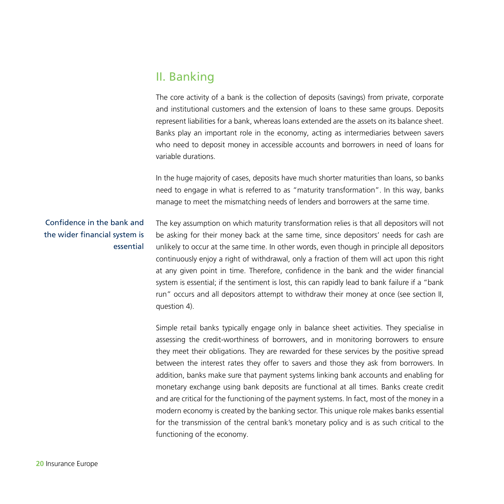### II. Banking

The core activity of a bank is the collection of deposits (savings) from private, corporate and institutional customers and the extension of loans to these same groups. Deposits represent liabilities for a bank, whereas loans extended are the assets on its balance sheet. Banks play an important role in the economy, acting as intermediaries between savers who need to deposit money in accessible accounts and borrowers in need of loans for variable durations.

In the huge majority of cases, deposits have much shorter maturities than loans, so banks need to engage in what is referred to as "maturity transformation". In this way, banks manage to meet the mismatching needs of lenders and borrowers at the same time.

#### Confidence in the bank and the wider financial system is essential

The key assumption on which maturity transformation relies is that all depositors will not be asking for their money back at the same time, since depositors' needs for cash are unlikely to occur at the same time. In other words, even though in principle all depositors continuously enjoy a right of withdrawal, only a fraction of them will act upon this right at any given point in time. Therefore, confidence in the bank and the wider financial system is essential; if the sentiment is lost, this can rapidly lead to bank failure if a "bank run" occurs and all depositors attempt to withdraw their money at once (see section II, question 4).

Simple retail banks typically engage only in balance sheet activities. They specialise in assessing the credit-worthiness of borrowers, and in monitoring borrowers to ensure they meet their obligations. They are rewarded for these services by the positive spread between the interest rates they offer to savers and those they ask from borrowers. In addition, banks make sure that payment systems linking bank accounts and enabling for monetary exchange using bank deposits are functional at all times. Banks create credit and are critical for the functioning of the payment systems. In fact, most of the money in a modern economy is created by the banking sector. This unique role makes banks essential for the transmission of the central bank's monetary policy and is as such critical to the functioning of the economy.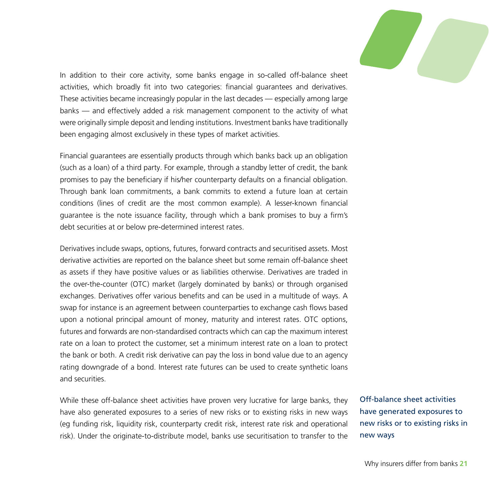

In addition to their core activity, some banks engage in so-called off-balance sheet activities, which broadly fit into two categories: financial guarantees and derivatives. These activities became increasingly popular in the last decades — especially among large banks — and effectively added a risk management component to the activity of what were originally simple deposit and lending institutions. Investment banks have traditionally been engaging almost exclusively in these types of market activities.

Financial guarantees are essentially products through which banks back up an obligation (such as a loan) of a third party. For example, through a standby letter of credit, the bank promises to pay the beneficiary if his/her counterparty defaults on a financial obligation. Through bank loan commitments, a bank commits to extend a future loan at certain conditions (lines of credit are the most common example). A lesser-known financial guarantee is the note issuance facility, through which a bank promises to buy a firm's debt securities at or below pre-determined interest rates.

Derivatives include swaps, options, futures, forward contracts and securitised assets. Most derivative activities are reported on the balance sheet but some remain off-balance sheet as assets if they have positive values or as liabilities otherwise. Derivatives are traded in the over-the-counter (OTC) market (largely dominated by banks) or through organised exchanges. Derivatives offer various benefits and can be used in a multitude of ways. A swap for instance is an agreement between counterparties to exchange cash flows based upon a notional principal amount of money, maturity and interest rates. OTC options, futures and forwards are non-standardised contracts which can cap the maximum interest rate on a loan to protect the customer, set a minimum interest rate on a loan to protect the bank or both. A credit risk derivative can pay the loss in bond value due to an agency rating downgrade of a bond. Interest rate futures can be used to create synthetic loans and securities.

While these off-balance sheet activities have proven very lucrative for large banks, they have also generated exposures to a series of new risks or to existing risks in new ways (eg funding risk, liquidity risk, counterparty credit risk, interest rate risk and operational risk). Under the originate-to-distribute model, banks use securitisation to transfer to the Off-balance sheet activities have generated exposures to new risks or to existing risks in new ways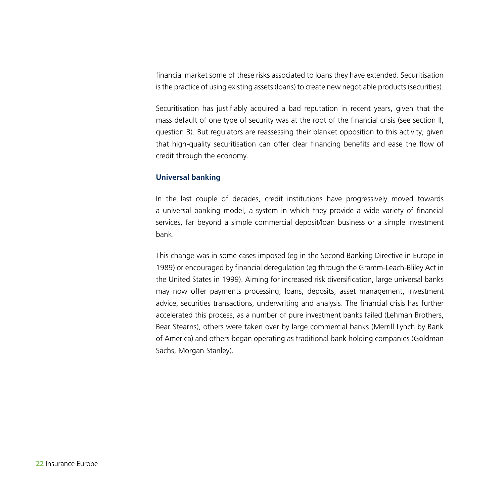financial market some of these risks associated to loans they have extended. Securitisation is the practice of using existing assets (loans) to create new negotiable products (securities).

Securitisation has justifiably acquired a bad reputation in recent years, given that the mass default of one type of security was at the root of the financial crisis (see section II, question 3). But regulators are reassessing their blanket opposition to this activity, given that high-quality securitisation can offer clear financing benefits and ease the flow of credit through the economy.

#### **Universal banking**

In the last couple of decades, credit institutions have progressively moved towards a universal banking model, a system in which they provide a wide variety of financial services, far beyond a simple commercial deposit/loan business or a simple investment bank.

This change was in some cases imposed (eg in the Second Banking Directive in Europe in 1989) or encouraged by financial deregulation (eg through the Gramm-Leach-Bliley Act in the United States in 1999). Aiming for increased risk diversification, large universal banks may now offer payments processing, loans, deposits, asset management, investment advice, securities transactions, underwriting and analysis. The financial crisis has further accelerated this process, as a number of pure investment banks failed (Lehman Brothers, Bear Stearns), others were taken over by large commercial banks (Merrill Lynch by Bank of America) and others began operating as traditional bank holding companies (Goldman Sachs, Morgan Stanley).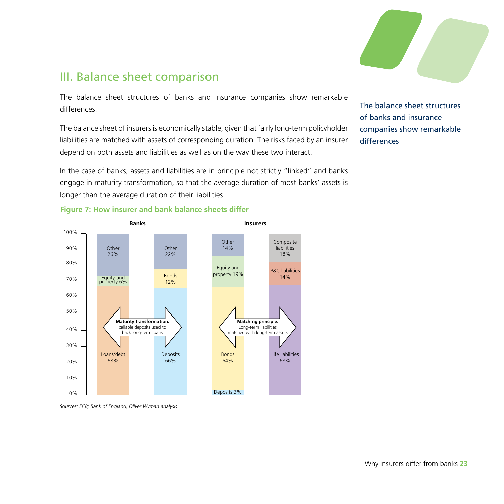

### III. Balance sheet comparison

The balance sheet structures of banks and insurance companies show remarkable differences.

The balance sheet of insurers is economically stable, given that fairly long-term policyholder liabilities are matched with assets of corresponding duration. The risks faced by an insurer depend on both assets and liabilities as well as on the way these two interact.

In the case of banks, assets and liabilities are in principle not strictly "linked" and banks engage in maturity transformation, so that the average duration of most banks' assets is longer than the average duration of their liabilities.

The balance sheet structures of banks and insurance companies show remarkable differences





*Sources: ECB; Bank of England; Oliver Wyman analysis*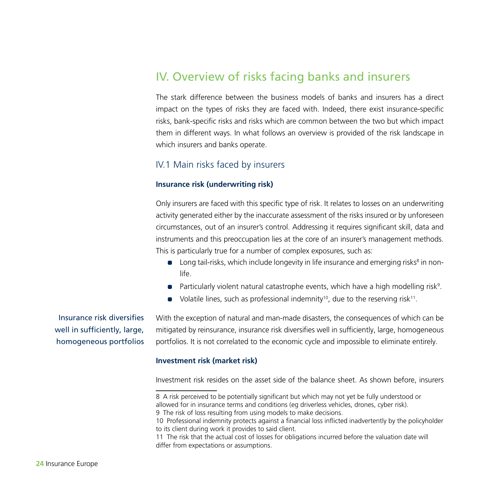### IV. Overview of risks facing banks and insurers

The stark difference between the business models of banks and insurers has a direct impact on the types of risks they are faced with. Indeed, there exist insurance-specific risks, bank-specific risks and risks which are common between the two but which impact them in different ways. In what follows an overview is provided of the risk landscape in which insurers and banks operate.

#### IV.1 Main risks faced by insurers

#### **Insurance risk (underwriting risk)**

Only insurers are faced with this specific type of risk. It relates to losses on an underwriting activity generated either by the inaccurate assessment of the risks insured or by unforeseen circumstances, out of an insurer's control. Addressing it requires significant skill, data and instruments and this preoccupation lies at the core of an insurer's management methods. This is particularly true for a number of complex exposures, such as:

- **•** Long tail-risks, which include longevity in life insurance and emerging risks<sup>8</sup> in nonlife.
- $\bullet$  Particularly violent natural catastrophe events, which have a high modelling risk<sup>9</sup>.
- Volatile lines, such as professional indemnity<sup>10</sup>, due to the reserving risk<sup>11</sup>.

Insurance risk diversifies well in sufficiently, large, homogeneous portfolios With the exception of natural and man-made disasters, the consequences of which can be mitigated by reinsurance, insurance risk diversifies well in sufficiently, large, homogeneous portfolios. It is not correlated to the economic cycle and impossible to eliminate entirely.

#### **Investment risk (market risk)**

Investment risk resides on the asset side of the balance sheet. As shown before, insurers

<sup>8</sup> A risk perceived to be potentially significant but which may not yet be fully understood or allowed for in insurance terms and conditions (eg driverless vehicles, drones, cyber risk). 9 The risk of loss resulting from using models to make decisions.

<sup>10</sup> Professional indemnity protects against a financial loss inflicted inadvertently by the policyholder to its client during work it provides to said client.

<sup>11</sup> The risk that the actual cost of losses for obligations incurred before the valuation date will differ from expectations or assumptions.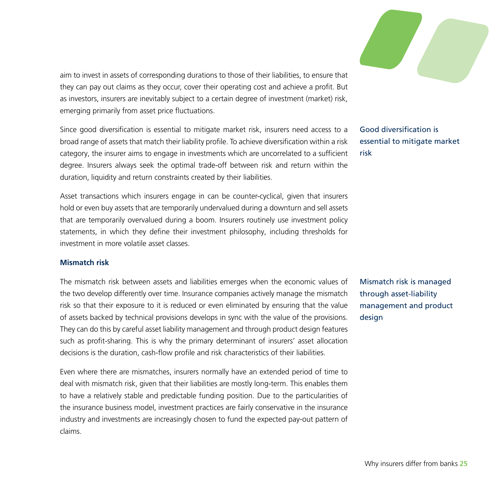aim to invest in assets of corresponding durations to those of their liabilities, to ensure that they can pay out claims as they occur, cover their operating cost and achieve a profit. But as investors, insurers are inevitably subject to a certain degree of investment (market) risk, emerging primarily from asset price fluctuations.

Since good diversification is essential to mitigate market risk, insurers need access to a broad range of assets that match their liability profile. To achieve diversification within a risk category, the insurer aims to engage in investments which are uncorrelated to a sufficient degree. Insurers always seek the optimal trade-off between risk and return within the duration, liquidity and return constraints created by their liabilities.

Asset transactions which insurers engage in can be counter-cyclical, given that insurers hold or even buy assets that are temporarily undervalued during a downturn and sell assets that are temporarily overvalued during a boom. Insurers routinely use investment policy statements, in which they define their investment philosophy, including thresholds for investment in more volatile asset classes.

#### **Mismatch risk**

The mismatch risk between assets and liabilities emerges when the economic values of the two develop differently over time. Insurance companies actively manage the mismatch risk so that their exposure to it is reduced or even eliminated by ensuring that the value of assets backed by technical provisions develops in sync with the value of the provisions. They can do this by careful asset liability management and through product design features such as profit-sharing. This is why the primary determinant of insurers' asset allocation decisions is the duration, cash-flow profile and risk characteristics of their liabilities.

Even where there are mismatches, insurers normally have an extended period of time to deal with mismatch risk, given that their liabilities are mostly long-term. This enables them to have a relatively stable and predictable funding position. Due to the particularities of the insurance business model, investment practices are fairly conservative in the insurance industry and investments are increasingly chosen to fund the expected pay-out pattern of claims.



Good diversification is essential to mitigate market risk

Mismatch risk is managed through asset-liability management and product desian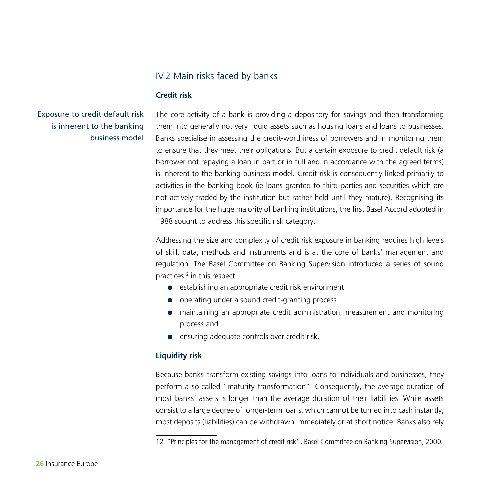#### IV.2 Main risks faced by banks

#### **Credit risk**

Exposure to credit default risk is inherent to the banking business model The core activity of a bank is providing a depository for savings and then transforming them into generally not very liquid assets such as housing loans and loans to businesses. Banks specialise in assessing the credit-worthiness of borrowers and in monitoring them to ensure that they meet their obligations. But a certain exposure to credit default risk (a borrower not repaying a loan in part or in full and in accordance with the agreed terms) is inherent to the banking business model. Credit risk is consequently linked primarily to activities in the banking book (ie loans granted to third parties and securities which are not actively traded by the institution but rather held until they mature). Recognising its importance for the huge majority of banking institutions, the first Basel Accord adopted in 1988 sought to address this specific risk category.

Addressing the size and complexity of credit risk exposure in banking requires high levels of skill, data, methods and instruments and is at the core of banks' management and regulation. The Basel Committee on Banking Supervision introduced a series of sound practices<sup>12</sup> in this respect:

- **•** establishing an appropriate credit risk environment
- operating under a sound credit-granting process
- maintaining an appropriate credit administration, measurement and monitoring process and
- **•** ensuring adequate controls over credit risk.

#### **Liquidity risk**

Because banks transform existing savings into loans to individuals and businesses, they perform a so-called "maturity transformation". Consequently, the average duration of most banks' assets is longer than the average duration of their liabilities. While assets consist to a large degree of longer-term loans, which cannot be turned into cash instantly, most deposits (liabilities) can be withdrawn immediately or at short notice. Banks also rely

<sup>12</sup> "Principles for the management of credit risk", Basel Committee on Banking Supervision, 2000.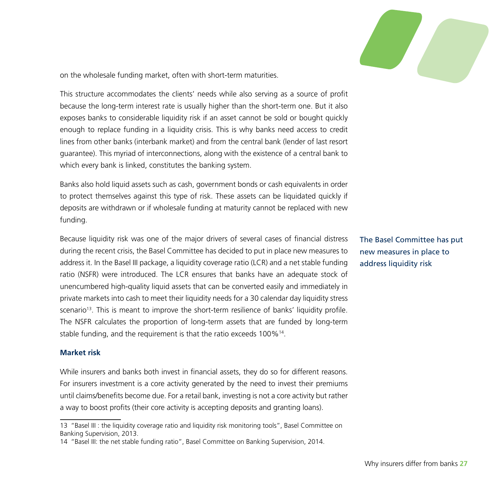

on the wholesale funding market, often with short-term maturities.

This structure accommodates the clients' needs while also serving as a source of profit because the long-term interest rate is usually higher than the short-term one. But it also exposes banks to considerable liquidity risk if an asset cannot be sold or bought quickly enough to replace funding in a liquidity crisis. This is why banks need access to credit lines from other banks (interbank market) and from the central bank (lender of last resort guarantee). This myriad of interconnections, along with the existence of a central bank to which every bank is linked, constitutes the banking system.

Banks also hold liquid assets such as cash, government bonds or cash equivalents in order to protect themselves against this type of risk. These assets can be liquidated quickly if deposits are withdrawn or if wholesale funding at maturity cannot be replaced with new funding.

Because liquidity risk was one of the major drivers of several cases of financial distress during the recent crisis, the Basel Committee has decided to put in place new measures to address it. In the Basel III package, a liquidity coverage ratio (LCR) and a net stable funding ratio (NSFR) were introduced. The LCR ensures that banks have an adequate stock of unencumbered high-quality liquid assets that can be converted easily and immediately in private markets into cash to meet their liquidity needs for a 30 calendar day liquidity stress scenario<sup>13</sup>. This is meant to improve the short-term resilience of banks' liquidity profile. The NSFR calculates the proportion of long-term assets that are funded by long-term stable funding, and the requirement is that the ratio exceeds 100%<sup>14</sup>.

#### **Market risk**

While insurers and banks both invest in financial assets, they do so for different reasons. For insurers investment is a core activity generated by the need to invest their premiums until claims/benefits become due. For a retail bank, investing is not a core activity but rather a way to boost profits (their core activity is accepting deposits and granting loans).

The Basel Committee has put new measures in place to address liquidity risk

<sup>13</sup> "Basel III : the liquidity coverage ratio and liquidity risk monitoring tools", Basel Committee on Banking Supervision, 2013.

<sup>14</sup> "Basel III: the net stable funding ratio", Basel Committee on Banking Supervision, 2014.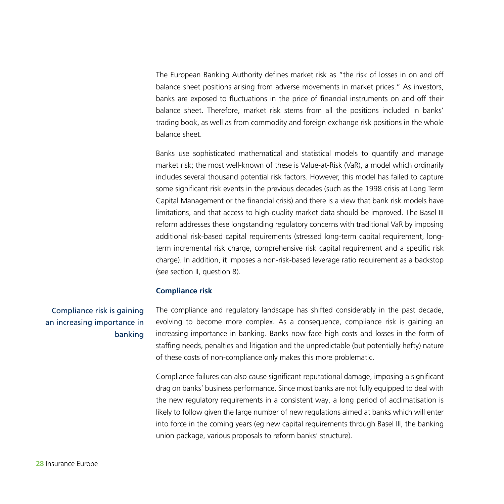The European Banking Authority defines market risk as "the risk of losses in on and off balance sheet positions arising from adverse movements in market prices." As investors, banks are exposed to fluctuations in the price of financial instruments on and off their balance sheet. Therefore, market risk stems from all the positions included in banks' trading book, as well as from commodity and foreign exchange risk positions in the whole balance sheet.

Banks use sophisticated mathematical and statistical models to quantify and manage market risk; the most well-known of these is Value-at-Risk (VaR), a model which ordinarily includes several thousand potential risk factors. However, this model has failed to capture some significant risk events in the previous decades (such as the 1998 crisis at Long Term Capital Management or the financial crisis) and there is a view that bank risk models have limitations, and that access to high-quality market data should be improved. The Basel III reform addresses these longstanding regulatory concerns with traditional VaR by imposing additional risk-based capital requirements (stressed long-term capital requirement, longterm incremental risk charge, comprehensive risk capital requirement and a specific risk charge). In addition, it imposes a non-risk-based leverage ratio requirement as a backstop (see section II, question 8).

#### **Compliance risk**

Compliance risk is gaining an increasing importance in banking The compliance and regulatory landscape has shifted considerably in the past decade, evolving to become more complex. As a consequence, compliance risk is gaining an increasing importance in banking. Banks now face high costs and losses in the form of staffing needs, penalties and litigation and the unpredictable (but potentially hefty) nature of these costs of non-compliance only makes this more problematic.

Compliance failures can also cause significant reputational damage, imposing a significant drag on banks' business performance. Since most banks are not fully equipped to deal with the new regulatory requirements in a consistent way, a long period of acclimatisation is likely to follow given the large number of new regulations aimed at banks which will enter into force in the coming years (eg new capital requirements through Basel III, the banking union package, various proposals to reform banks' structure).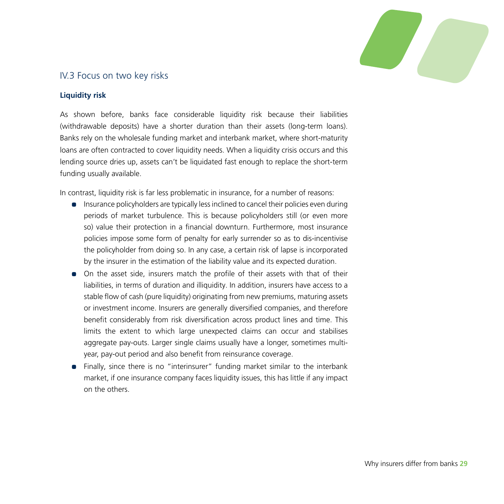

#### IV.3 Focus on two key risks

#### **Liquidity risk**

As shown before, banks face considerable liquidity risk because their liabilities (withdrawable deposits) have a shorter duration than their assets (long-term loans). Banks rely on the wholesale funding market and interbank market, where short-maturity loans are often contracted to cover liquidity needs. When a liquidity crisis occurs and this lending source dries up, assets can't be liquidated fast enough to replace the short-term funding usually available.

In contrast, liquidity risk is far less problematic in insurance, for a number of reasons:

- Insurance policyholders are typically less inclined to cancel their policies even during periods of market turbulence. This is because policyholders still (or even more so) value their protection in a financial downturn. Furthermore, most insurance policies impose some form of penalty for early surrender so as to dis-incentivise the policyholder from doing so. In any case, a certain risk of lapse is incorporated by the insurer in the estimation of the liability value and its expected duration.
- On the asset side, insurers match the profile of their assets with that of their liabilities, in terms of duration and illiquidity. In addition, insurers have access to a stable flow of cash (pure liquidity) originating from new premiums, maturing assets or investment income. Insurers are generally diversified companies, and therefore benefit considerably from risk diversification across product lines and time. This limits the extent to which large unexpected claims can occur and stabilises aggregate pay-outs. Larger single claims usually have a longer, sometimes multiyear, pay-out period and also benefit from reinsurance coverage.
- Finally, since there is no "interinsurer" funding market similar to the interbank market, if one insurance company faces liquidity issues, this has little if any impact on the others.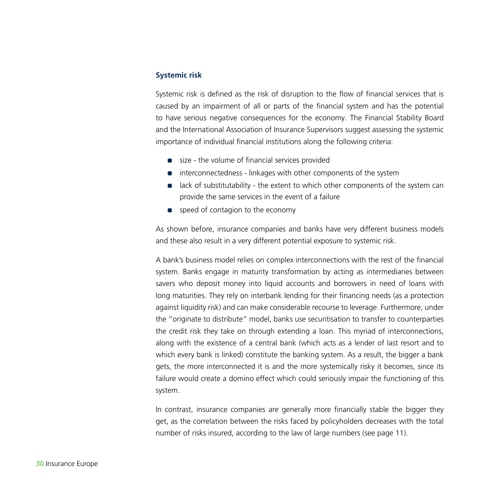#### **Systemic risk**

Systemic risk is defined as the risk of disruption to the flow of financial services that is caused by an impairment of all or parts of the financial system and has the potential to have serious negative consequences for the economy. The Financial Stability Board and the International Association of Insurance Supervisors suggest assessing the systemic importance of individual financial institutions along the following criteria:

- size the volume of financial services provided
- **•** interconnectedness linkages with other components of the system
- lack of substitutability the extent to which other components of the system can provide the same services in the event of a failure
- **•** speed of contagion to the economy

As shown before, insurance companies and banks have very different business models and these also result in a very different potential exposure to systemic risk.

A bank's business model relies on complex interconnections with the rest of the financial system. Banks engage in maturity transformation by acting as intermediaries between savers who deposit money into liquid accounts and borrowers in need of loans with long maturities. They rely on interbank lending for their financing needs (as a protection against liquidity risk) and can make considerable recourse to leverage. Furthermore, under the "originate to distribute" model, banks use securitisation to transfer to counterparties the credit risk they take on through extending a loan. This myriad of interconnections, along with the existence of a central bank (which acts as a lender of last resort and to which every bank is linked) constitute the banking system. As a result, the bigger a bank gets, the more interconnected it is and the more systemically risky it becomes, since its failure would create a domino effect which could seriously impair the functioning of this system.

In contrast, insurance companies are generally more financially stable the bigger they get, as the correlation between the risks faced by policyholders decreases with the total number of risks insured, according to the law of large numbers (see page 11).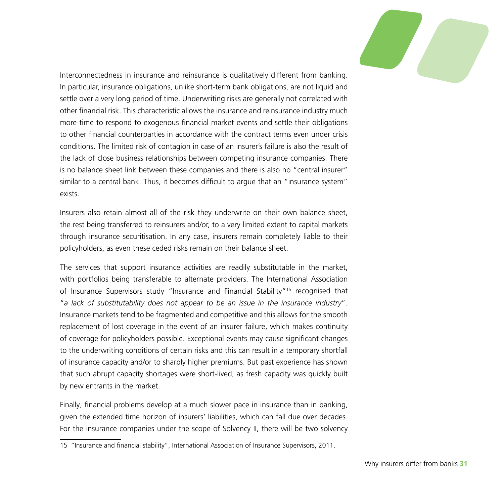

Interconnectedness in insurance and reinsurance is qualitatively different from banking. In particular, insurance obligations, unlike short-term bank obligations, are not liquid and settle over a very long period of time. Underwriting risks are generally not correlated with other financial risk. This characteristic allows the insurance and reinsurance industry much more time to respond to exogenous financial market events and settle their obligations to other financial counterparties in accordance with the contract terms even under crisis conditions. The limited risk of contagion in case of an insurer's failure is also the result of the lack of close business relationships between competing insurance companies. There is no balance sheet link between these companies and there is also no "central insurer" similar to a central bank. Thus, it becomes difficult to argue that an "insurance system" exists.

Insurers also retain almost all of the risk they underwrite on their own balance sheet, the rest being transferred to reinsurers and/or, to a very limited extent to capital markets through insurance securitisation. In any case, insurers remain completely liable to their policyholders, as even these ceded risks remain on their balance sheet.

The services that support insurance activities are readily substitutable in the market, with portfolios being transferable to alternate providers. The International Association of Insurance Supervisors study "Insurance and Financial Stability"15 recognised that "*a lack of substitutability does not appear to be an issue in the insurance industry*". Insurance markets tend to be fragmented and competitive and this allows for the smooth replacement of lost coverage in the event of an insurer failure, which makes continuity of coverage for policyholders possible. Exceptional events may cause significant changes to the underwriting conditions of certain risks and this can result in a temporary shortfall of insurance capacity and/or to sharply higher premiums. But past experience has shown that such abrupt capacity shortages were short-lived, as fresh capacity was quickly built by new entrants in the market.

Finally, financial problems develop at a much slower pace in insurance than in banking, given the extended time horizon of insurers' liabilities, which can fall due over decades. For the insurance companies under the scope of Solvency II, there will be two solvency

<sup>15</sup> "Insurance and financial stability", International Association of Insurance Supervisors, 2011.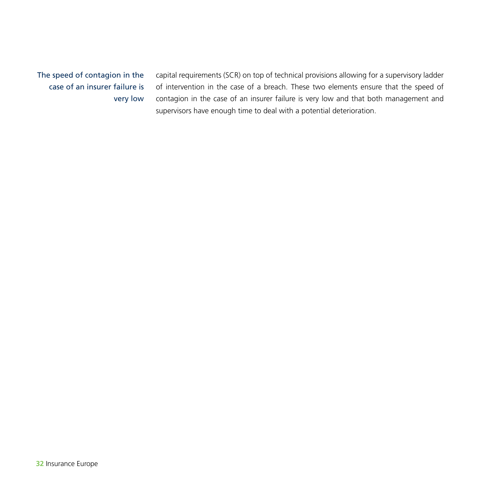The speed of contagion in the case of an insurer failure is very low capital requirements (SCR) on top of technical provisions allowing for a supervisory ladder of intervention in the case of a breach. These two elements ensure that the speed of contagion in the case of an insurer failure is very low and that both management and supervisors have enough time to deal with a potential deterioration.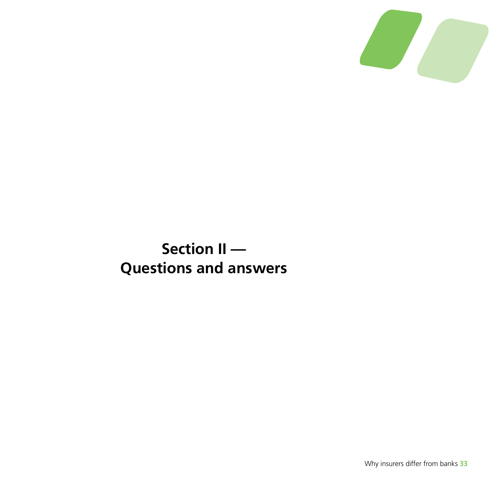

# **Section II — Questions and answers**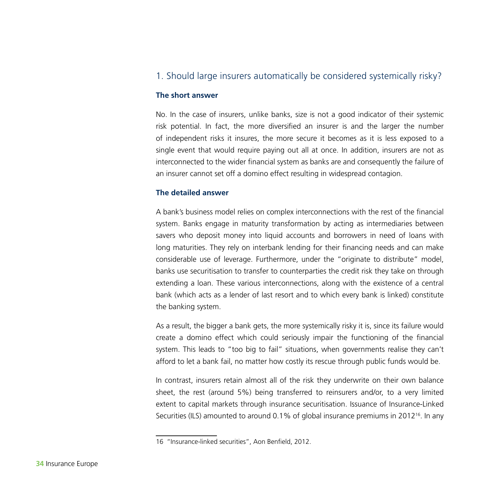#### 1. Should large insurers automatically be considered systemically risky?

#### **The short answer**

No. In the case of insurers, unlike banks, size is not a good indicator of their systemic risk potential. In fact, the more diversified an insurer is and the larger the number of independent risks it insures, the more secure it becomes as it is less exposed to a single event that would require paying out all at once. In addition, insurers are not as interconnected to the wider financial system as banks are and consequently the failure of an insurer cannot set off a domino effect resulting in widespread contagion.

#### **The detailed answer**

A bank's business model relies on complex interconnections with the rest of the financial system. Banks engage in maturity transformation by acting as intermediaries between savers who deposit money into liquid accounts and borrowers in need of loans with long maturities. They rely on interbank lending for their financing needs and can make considerable use of leverage. Furthermore, under the "originate to distribute" model, banks use securitisation to transfer to counterparties the credit risk they take on through extending a loan. These various interconnections, along with the existence of a central bank (which acts as a lender of last resort and to which every bank is linked) constitute the banking system.

As a result, the bigger a bank gets, the more systemically risky it is, since its failure would create a domino effect which could seriously impair the functioning of the financial system. This leads to "too big to fail" situations, when governments realise they can't afford to let a bank fail, no matter how costly its rescue through public funds would be.

In contrast, insurers retain almost all of the risk they underwrite on their own balance sheet, the rest (around 5%) being transferred to reinsurers and/or, to a very limited extent to capital markets through insurance securitisation. Issuance of Insurance-Linked Securities (ILS) amounted to around 0.1% of global insurance premiums in 2012<sup>16</sup>. In any

<sup>16</sup> "Insurance-linked securities", Aon Benfield, 2012.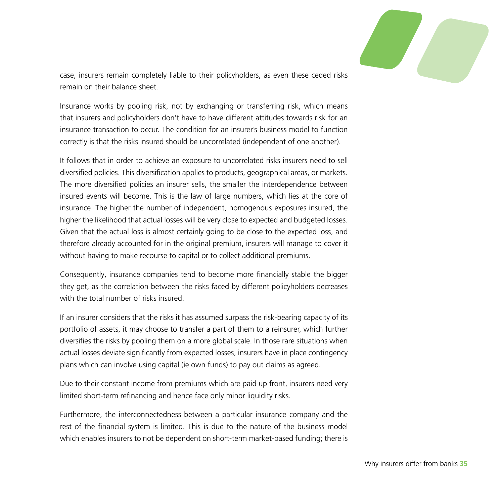

case, insurers remain completely liable to their policyholders, as even these ceded risks remain on their balance sheet.

Insurance works by pooling risk, not by exchanging or transferring risk, which means that insurers and policyholders don't have to have different attitudes towards risk for an insurance transaction to occur. The condition for an insurer's business model to function correctly is that the risks insured should be uncorrelated (independent of one another).

It follows that in order to achieve an exposure to uncorrelated risks insurers need to sell diversified policies. This diversification applies to products, geographical areas, or markets. The more diversified policies an insurer sells, the smaller the interdependence between insured events will become. This is the law of large numbers, which lies at the core of insurance. The higher the number of independent, homogenous exposures insured, the higher the likelihood that actual losses will be very close to expected and budgeted losses. Given that the actual loss is almost certainly going to be close to the expected loss, and therefore already accounted for in the original premium, insurers will manage to cover it without having to make recourse to capital or to collect additional premiums.

Consequently, insurance companies tend to become more financially stable the bigger they get, as the correlation between the risks faced by different policyholders decreases with the total number of risks insured.

If an insurer considers that the risks it has assumed surpass the risk-bearing capacity of its portfolio of assets, it may choose to transfer a part of them to a reinsurer, which further diversifies the risks by pooling them on a more global scale. In those rare situations when actual losses deviate significantly from expected losses, insurers have in place contingency plans which can involve using capital (ie own funds) to pay out claims as agreed.

Due to their constant income from premiums which are paid up front, insurers need very limited short-term refinancing and hence face only minor liquidity risks.

Furthermore, the interconnectedness between a particular insurance company and the rest of the financial system is limited. This is due to the nature of the business model which enables insurers to not be dependent on short-term market-based funding; there is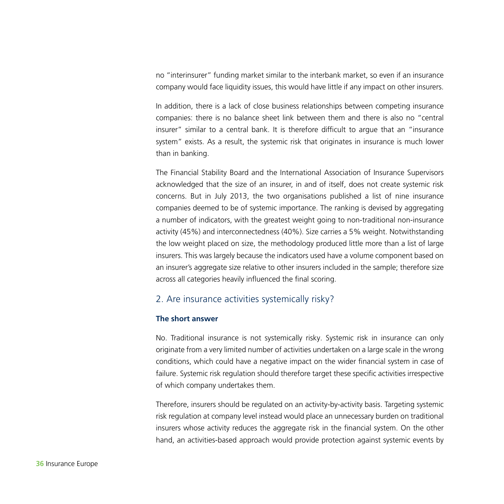no "interinsurer" funding market similar to the interbank market, so even if an insurance company would face liquidity issues, this would have little if any impact on other insurers.

In addition, there is a lack of close business relationships between competing insurance companies: there is no balance sheet link between them and there is also no "central insurer" similar to a central bank. It is therefore difficult to argue that an "insurance system" exists. As a result, the systemic risk that originates in insurance is much lower than in banking.

The Financial Stability Board and the International Association of Insurance Supervisors acknowledged that the size of an insurer, in and of itself, does not create systemic risk concerns. But in July 2013, the two organisations published a list of nine insurance companies deemed to be of systemic importance. The ranking is devised by aggregating a number of indicators, with the greatest weight going to non-traditional non-insurance activity (45%) and interconnectedness (40%). Size carries a 5% weight. Notwithstanding the low weight placed on size, the methodology produced little more than a list of large insurers. This was largely because the indicators used have a volume component based on an insurer's aggregate size relative to other insurers included in the sample; therefore size across all categories heavily influenced the final scoring.

#### 2. Are insurance activities systemically risky?

#### **The short answer**

No. Traditional insurance is not systemically risky. Systemic risk in insurance can only originate from a very limited number of activities undertaken on a large scale in the wrong conditions, which could have a negative impact on the wider financial system in case of failure. Systemic risk regulation should therefore target these specific activities irrespective of which company undertakes them.

Therefore, insurers should be regulated on an activity-by-activity basis. Targeting systemic risk regulation at company level instead would place an unnecessary burden on traditional insurers whose activity reduces the aggregate risk in the financial system. On the other hand, an activities-based approach would provide protection against systemic events by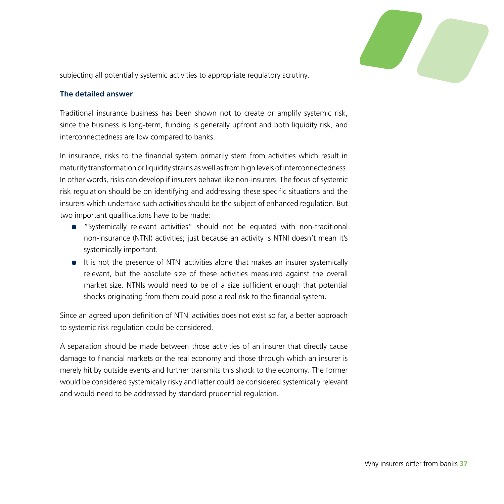

subjecting all potentially systemic activities to appropriate regulatory scrutiny.

#### **The detailed answer**

Traditional insurance business has been shown not to create or amplify systemic risk, since the business is long-term, funding is generally upfront and both liquidity risk, and interconnectedness are low compared to banks.

In insurance, risks to the financial system primarily stem from activities which result in maturity transformation or liquidity strains as well as from high levels of interconnectedness. In other words, risks can develop if insurers behave like non-insurers. The focus of systemic risk regulation should be on identifying and addressing these specific situations and the insurers which undertake such activities should be the subject of enhanced regulation. But two important qualifications have to be made:

- "Systemically relevant activities" should not be equated with non-traditional non-insurance (NTNI) activities; just because an activity is NTNI doesn't mean it's systemically important.
- It is not the presence of NTNI activities alone that makes an insurer systemically relevant, but the absolute size of these activities measured against the overall market size. NTNIs would need to be of a size sufficient enough that potential shocks originating from them could pose a real risk to the financial system.

Since an agreed upon definition of NTNI activities does not exist so far, a better approach to systemic risk regulation could be considered.

A separation should be made between those activities of an insurer that directly cause damage to financial markets or the real economy and those through which an insurer is merely hit by outside events and further transmits this shock to the economy. The former would be considered systemically risky and latter could be considered systemically relevant and would need to be addressed by standard prudential regulation.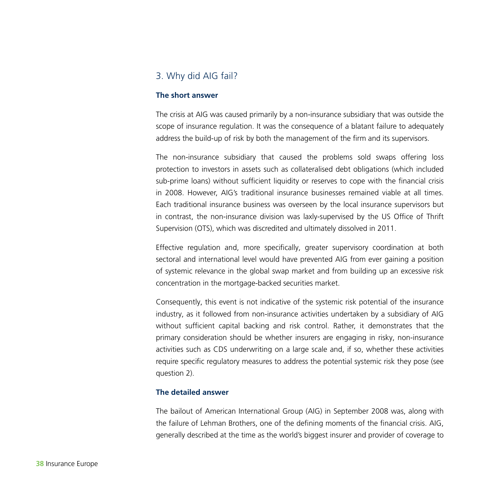#### 3. Why did AIG fail?

#### **The short answer**

The crisis at AIG was caused primarily by a non-insurance subsidiary that was outside the scope of insurance regulation. It was the consequence of a blatant failure to adequately address the build-up of risk by both the management of the firm and its supervisors.

The non-insurance subsidiary that caused the problems sold swaps offering loss protection to investors in assets such as collateralised debt obligations (which included sub-prime loans) without sufficient liquidity or reserves to cope with the financial crisis in 2008. However, AIG's traditional insurance businesses remained viable at all times. Each traditional insurance business was overseen by the local insurance supervisors but in contrast, the non-insurance division was laxly-supervised by the US Office of Thrift Supervision (OTS), which was discredited and ultimately dissolved in 2011.

Effective regulation and, more specifically, greater supervisory coordination at both sectoral and international level would have prevented AIG from ever gaining a position of systemic relevance in the global swap market and from building up an excessive risk concentration in the mortgage-backed securities market.

Consequently, this event is not indicative of the systemic risk potential of the insurance industry, as it followed from non-insurance activities undertaken by a subsidiary of AIG without sufficient capital backing and risk control. Rather, it demonstrates that the primary consideration should be whether insurers are engaging in risky, non-insurance activities such as CDS underwriting on a large scale and, if so, whether these activities require specific regulatory measures to address the potential systemic risk they pose (see question 2).

#### **The detailed answer**

The bailout of American International Group (AIG) in September 2008 was, along with the failure of Lehman Brothers, one of the defining moments of the financial crisis. AIG, generally described at the time as the world's biggest insurer and provider of coverage to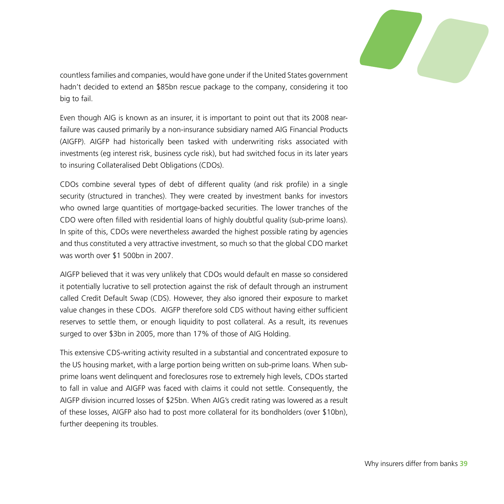

countless families and companies, would have gone under if the United States government hadn't decided to extend an \$85bn rescue package to the company, considering it too big to fail.

Even though AIG is known as an insurer, it is important to point out that its 2008 nearfailure was caused primarily by a non-insurance subsidiary named AIG Financial Products (AIGFP). AIGFP had historically been tasked with underwriting risks associated with investments (eg interest risk, business cycle risk), but had switched focus in its later years to insuring Collateralised Debt Obligations (CDOs).

CDOs combine several types of debt of different quality (and risk profile) in a single security (structured in tranches). They were created by investment banks for investors who owned large quantities of mortgage-backed securities. The lower tranches of the CDO were often filled with residential loans of highly doubtful quality (sub-prime loans). In spite of this, CDOs were nevertheless awarded the highest possible rating by agencies and thus constituted a very attractive investment, so much so that the global CDO market was worth over \$1 500bn in 2007.

AIGFP believed that it was very unlikely that CDOs would default en masse so considered it potentially lucrative to sell protection against the risk of default through an instrument called Credit Default Swap (CDS). However, they also ignored their exposure to market value changes in these CDOs. AIGFP therefore sold CDS without having either sufficient reserves to settle them, or enough liquidity to post collateral. As a result, its revenues surged to over \$3bn in 2005, more than 17% of those of AIG Holding.

This extensive CDS-writing activity resulted in a substantial and concentrated exposure to the US housing market, with a large portion being written on sub-prime loans. When subprime loans went delinquent and foreclosures rose to extremely high levels, CDOs started to fall in value and AIGFP was faced with claims it could not settle. Consequently, the AIGFP division incurred losses of \$25bn. When AIG's credit rating was lowered as a result of these losses, AIGFP also had to post more collateral for its bondholders (over \$10bn), further deepening its troubles.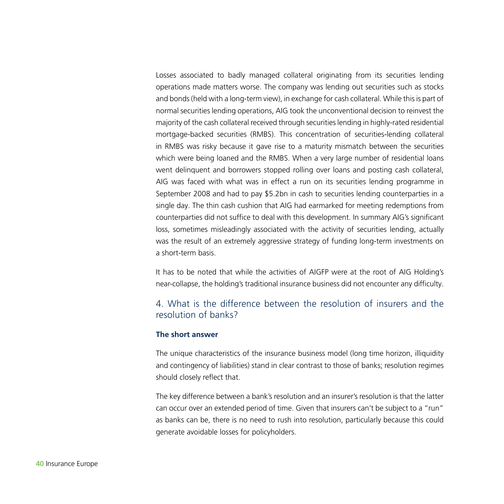Losses associated to badly managed collateral originating from its securities lending operations made matters worse. The company was lending out securities such as stocks and bonds (held with a long-term view), in exchange for cash collateral. While this is part of normal securities lending operations, AIG took the unconventional decision to reinvest the majority of the cash collateral received through securities lending in highly-rated residential mortgage-backed securities (RMBS). This concentration of securities-lending collateral in RMBS was risky because it gave rise to a maturity mismatch between the securities which were being loaned and the RMBS. When a very large number of residential loans went delinquent and borrowers stopped rolling over loans and posting cash collateral, AIG was faced with what was in effect a run on its securities lending programme in September 2008 and had to pay \$5.2bn in cash to securities lending counterparties in a single day. The thin cash cushion that AIG had earmarked for meeting redemptions from counterparties did not suffice to deal with this development. In summary AIG's significant loss, sometimes misleadingly associated with the activity of securities lending, actually was the result of an extremely aggressive strategy of funding long-term investments on a short-term basis.

It has to be noted that while the activities of AIGFP were at the root of AIG Holding's near-collapse, the holding's traditional insurance business did not encounter any difficulty.

#### 4. What is the difference between the resolution of insurers and the resolution of banks?

#### **The short answer**

The unique characteristics of the insurance business model (long time horizon, illiquidity and contingency of liabilities) stand in clear contrast to those of banks; resolution regimes should closely reflect that.

The key difference between a bank's resolution and an insurer's resolution is that the latter can occur over an extended period of time. Given that insurers can't be subject to a "run" as banks can be, there is no need to rush into resolution, particularly because this could generate avoidable losses for policyholders.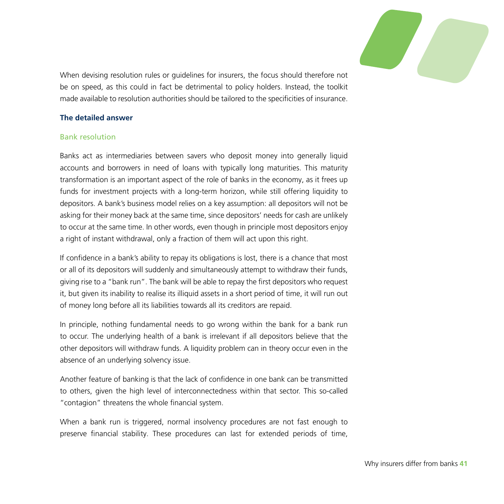

When devising resolution rules or guidelines for insurers, the focus should therefore not be on speed, as this could in fact be detrimental to policy holders. Instead, the toolkit made available to resolution authorities should be tailored to the specificities of insurance.

#### **The detailed answer**

#### Bank resolution

Banks act as intermediaries between savers who deposit money into generally liquid accounts and borrowers in need of loans with typically long maturities. This maturity transformation is an important aspect of the role of banks in the economy, as it frees up funds for investment projects with a long-term horizon, while still offering liquidity to depositors. A bank's business model relies on a key assumption: all depositors will not be asking for their money back at the same time, since depositors' needs for cash are unlikely to occur at the same time. In other words, even though in principle most depositors enjoy a right of instant withdrawal, only a fraction of them will act upon this right.

If confidence in a bank's ability to repay its obligations is lost, there is a chance that most or all of its depositors will suddenly and simultaneously attempt to withdraw their funds, giving rise to a "bank run". The bank will be able to repay the first depositors who request it, but given its inability to realise its illiquid assets in a short period of time, it will run out of money long before all its liabilities towards all its creditors are repaid.

In principle, nothing fundamental needs to go wrong within the bank for a bank run to occur. The underlying health of a bank is irrelevant if all depositors believe that the other depositors will withdraw funds. A liquidity problem can in theory occur even in the absence of an underlying solvency issue.

Another feature of banking is that the lack of confidence in one bank can be transmitted to others, given the high level of interconnectedness within that sector. This so-called "contagion" threatens the whole financial system.

When a bank run is triggered, normal insolvency procedures are not fast enough to preserve financial stability. These procedures can last for extended periods of time,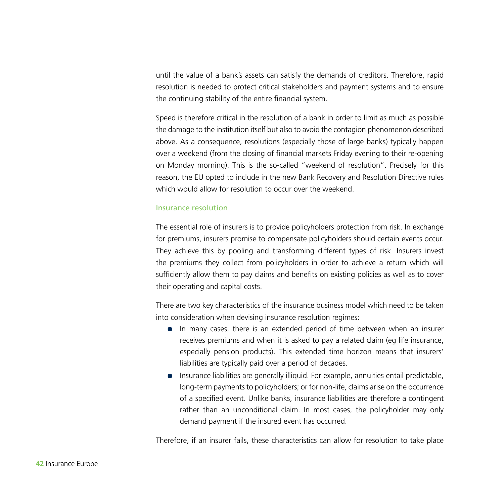until the value of a bank's assets can satisfy the demands of creditors. Therefore, rapid resolution is needed to protect critical stakeholders and payment systems and to ensure the continuing stability of the entire financial system.

Speed is therefore critical in the resolution of a bank in order to limit as much as possible the damage to the institution itself but also to avoid the contagion phenomenon described above. As a consequence, resolutions (especially those of large banks) typically happen over a weekend (from the closing of financial markets Friday evening to their re-opening on Monday morning). This is the so-called "weekend of resolution". Precisely for this reason, the EU opted to include in the new Bank Recovery and Resolution Directive rules which would allow for resolution to occur over the weekend.

#### Insurance resolution

The essential role of insurers is to provide policyholders protection from risk. In exchange for premiums, insurers promise to compensate policyholders should certain events occur. They achieve this by pooling and transforming different types of risk. Insurers invest the premiums they collect from policyholders in order to achieve a return which will sufficiently allow them to pay claims and benefits on existing policies as well as to cover their operating and capital costs.

There are two key characteristics of the insurance business model which need to be taken into consideration when devising insurance resolution regimes:

- In many cases, there is an extended period of time between when an insurer receives premiums and when it is asked to pay a related claim (eg life insurance, especially pension products). This extended time horizon means that insurers' liabilities are typically paid over a period of decades.
- Insurance liabilities are generally illiquid. For example, annuities entail predictable, long-term payments to policyholders; or for non-life, claims arise on the occurrence of a specified event. Unlike banks, insurance liabilities are therefore a contingent rather than an unconditional claim. In most cases, the policyholder may only demand payment if the insured event has occurred.

Therefore, if an insurer fails, these characteristics can allow for resolution to take place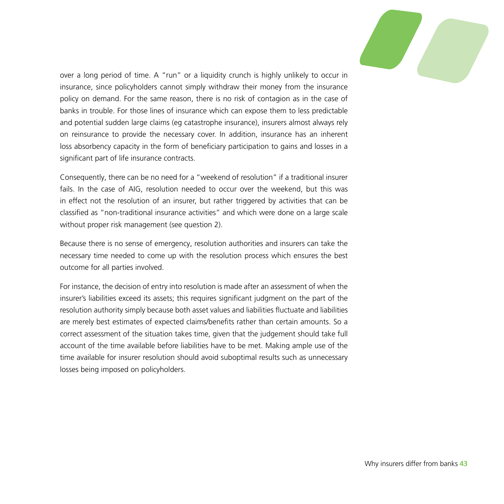

over a long period of time. A "run" or a liquidity crunch is highly unlikely to occur in insurance, since policyholders cannot simply withdraw their money from the insurance policy on demand. For the same reason, there is no risk of contagion as in the case of banks in trouble. For those lines of insurance which can expose them to less predictable and potential sudden large claims (eg catastrophe insurance), insurers almost always rely on reinsurance to provide the necessary cover. In addition, insurance has an inherent loss absorbency capacity in the form of beneficiary participation to gains and losses in a significant part of life insurance contracts.

Consequently, there can be no need for a "weekend of resolution" if a traditional insurer fails. In the case of AIG, resolution needed to occur over the weekend, but this was in effect not the resolution of an insurer, but rather triggered by activities that can be classified as "non-traditional insurance activities" and which were done on a large scale without proper risk management (see question 2).

Because there is no sense of emergency, resolution authorities and insurers can take the necessary time needed to come up with the resolution process which ensures the best outcome for all parties involved.

For instance, the decision of entry into resolution is made after an assessment of when the insurer's liabilities exceed its assets; this requires significant judgment on the part of the resolution authority simply because both asset values and liabilities fluctuate and liabilities are merely best estimates of expected claims/benefits rather than certain amounts. So a correct assessment of the situation takes time, given that the judgement should take full account of the time available before liabilities have to be met. Making ample use of the time available for insurer resolution should avoid suboptimal results such as unnecessary losses being imposed on policyholders.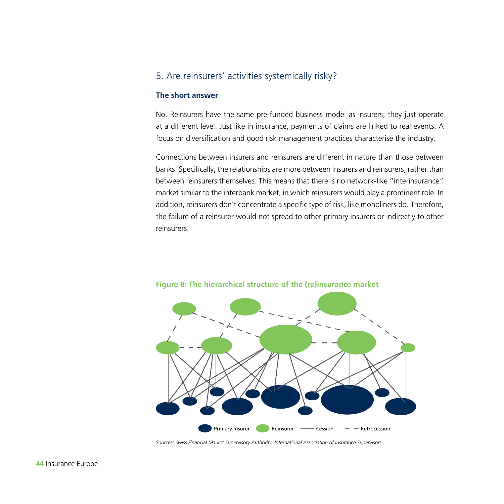### 5. Are reinsurers' activities systemically risky?

#### **The short answer**

No. Reinsurers have the same pre-funded business model as insurers; they just operate at a different level. Just like in insurance, payments of claims are linked to real events. A focus on diversification and good risk management practices characterise the industry.

Connections between insurers and reinsurers are different in nature than those between banks. Specifically, the relationships are more between insurers and reinsurers, rather than between reinsurers themselves. This means that there is no network-like "interinsurance" market similar to the interbank market, in which reinsurers would play a prominent role. In addition, reinsurers don't concentrate a specific type of risk, like monoliners do. Therefore, the failure of a reinsurer would not spread to other primary insurers or indirectly to other reinsurers.



**Figure 8: The hierarchical structure of the (re)insurance market**

*Sources: Swiss Financial Market Supervisory Authority, International Association of Insurance Supervisors*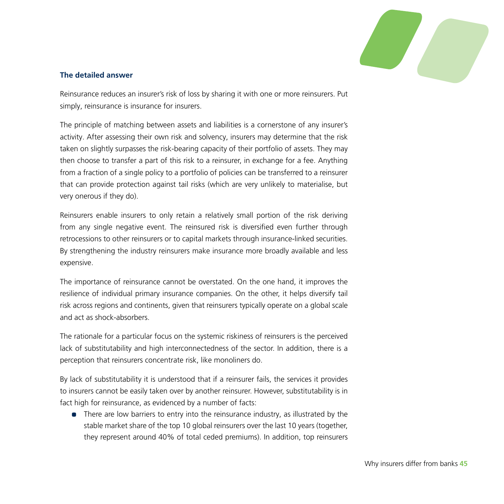

#### **The detailed answer**

Reinsurance reduces an insurer's risk of loss by sharing it with one or more reinsurers. Put simply, reinsurance is insurance for insurers.

The principle of matching between assets and liabilities is a cornerstone of any insurer's activity. After assessing their own risk and solvency, insurers may determine that the risk taken on slightly surpasses the risk-bearing capacity of their portfolio of assets. They may then choose to transfer a part of this risk to a reinsurer, in exchange for a fee. Anything from a fraction of a single policy to a portfolio of policies can be transferred to a reinsurer that can provide protection against tail risks (which are very unlikely to materialise, but very onerous if they do).

Reinsurers enable insurers to only retain a relatively small portion of the risk deriving from any single negative event. The reinsured risk is diversified even further through retrocessions to other reinsurers or to capital markets through insurance-linked securities. By strengthening the industry reinsurers make insurance more broadly available and less expensive.

The importance of reinsurance cannot be overstated. On the one hand, it improves the resilience of individual primary insurance companies. On the other, it helps diversify tail risk across regions and continents, given that reinsurers typically operate on a global scale and act as shock-absorbers.

The rationale for a particular focus on the systemic riskiness of reinsurers is the perceived lack of substitutability and high interconnectedness of the sector. In addition, there is a perception that reinsurers concentrate risk, like monoliners do.

By lack of substitutability it is understood that if a reinsurer fails, the services it provides to insurers cannot be easily taken over by another reinsurer. However, substitutability is in fact high for reinsurance, as evidenced by a number of facts:

• There are low barriers to entry into the reinsurance industry, as illustrated by the stable market share of the top 10 global reinsurers over the last 10 years (together, they represent around 40% of total ceded premiums). In addition, top reinsurers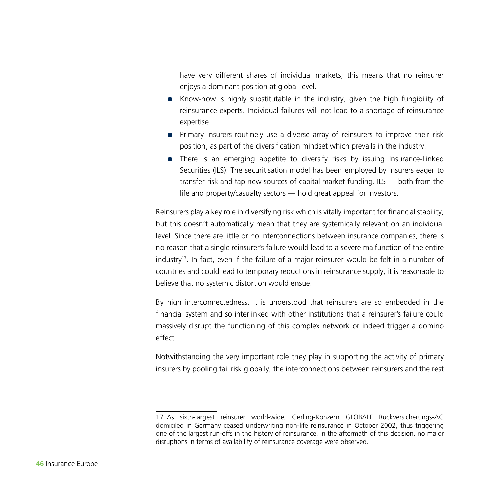have very different shares of individual markets; this means that no reinsurer enjoys a dominant position at global level.

- Know-how is highly substitutable in the industry, given the high fungibility of reinsurance experts. Individual failures will not lead to a shortage of reinsurance expertise.
- Primary insurers routinely use a diverse array of reinsurers to improve their risk position, as part of the diversification mindset which prevails in the industry.
- There is an emerging appetite to diversify risks by issuing Insurance-Linked Securities (ILS). The securitisation model has been employed by insurers eager to transfer risk and tap new sources of capital market funding. ILS — both from the life and property/casualty sectors — hold great appeal for investors.

Reinsurers play a key role in diversifying risk which is vitally important for financial stability, but this doesn't automatically mean that they are systemically relevant on an individual level. Since there are little or no interconnections between insurance companies, there is no reason that a single reinsurer's failure would lead to a severe malfunction of the entire industry<sup>17</sup>. In fact, even if the failure of a major reinsurer would be felt in a number of countries and could lead to temporary reductions in reinsurance supply, it is reasonable to believe that no systemic distortion would ensue.

By high interconnectedness, it is understood that reinsurers are so embedded in the financial system and so interlinked with other institutions that a reinsurer's failure could massively disrupt the functioning of this complex network or indeed trigger a domino effect.

Notwithstanding the very important role they play in supporting the activity of primary insurers by pooling tail risk globally, the interconnections between reinsurers and the rest

<sup>17</sup> As sixth-largest reinsurer world-wide, Gerling-Konzern GLOBALE Rückversicherungs-AG domiciled in Germany ceased underwriting non-life reinsurance in October 2002, thus triggering one of the largest run-offs in the history of reinsurance. In the aftermath of this decision, no major disruptions in terms of availability of reinsurance coverage were observed.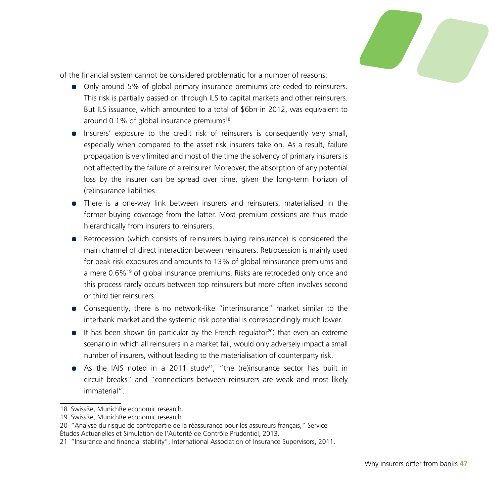

of the financial system cannot be considered problematic for a number of reasons:

- Only around 5% of global primary insurance premiums are ceded to reinsurers. This risk is partially passed on through ILS to capital markets and other reinsurers. But ILS issuance, which amounted to a total of \$6bn in 2012, was equivalent to around 0.1% of global insurance premiums<sup>18</sup>.
- Insurers' exposure to the credit risk of reinsurers is consequently very small, especially when compared to the asset risk insurers take on. As a result, failure propagation is very limited and most of the time the solvency of primary insurers is not affected by the failure of a reinsurer. Moreover, the absorption of any potential loss by the insurer can be spread over time, given the long-term horizon of (re)insurance liabilities.
- There is a one-way link between insurers and reinsurers, materialised in the former buying coverage from the latter. Most premium cessions are thus made hierarchically from insurers to reinsurers.
- Retrocession (which consists of reinsurers buying reinsurance) is considered the main channel of direct interaction between reinsurers. Retrocession is mainly used for peak risk exposures and amounts to 13% of global reinsurance premiums and a mere 0.6%<sup>19</sup> of global insurance premiums. Risks are retroceded only once and this process rarely occurs between top reinsurers but more often involves second or third tier reinsurers.
- Consequently, there is no network-like "interinsurance" market similar to the interbank market and the systemic risk potential is correspondingly much lower.
- $\bullet$  It has been shown (in particular by the French regulator<sup>20</sup>) that even an extreme scenario in which all reinsurers in a market fail, would only adversely impact a small number of insurers, without leading to the materialisation of counterparty risk.
- As the IAIS noted in a 2011 study<sup>21</sup>, "the (re)insurance sector has built in circuit breaks" and "connections between reinsurers are weak and most likely immaterial".

<sup>18</sup> SwissRe, MunichRe economic research.

<sup>19</sup> SwissRe, MunichRe economic research.

<sup>20</sup> "Analyse du risque de contrepartie de la réassurance pour les assureurs français," Service Études Actuarielles et Simulation de l'Autorité de Contrôle Prudentiel, 2013.

<sup>21</sup> "Insurance and financial stability", International Association of Insurance Supervisors, 2011.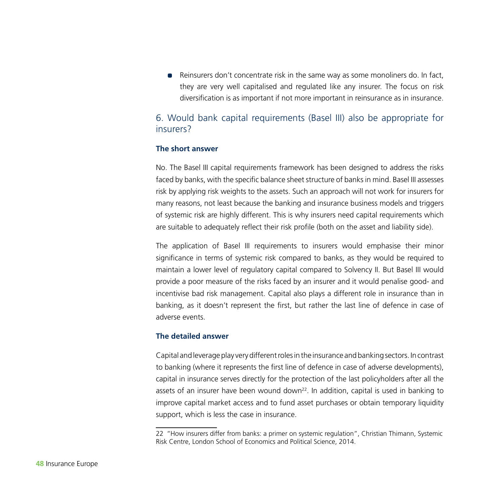• Reinsurers don't concentrate risk in the same way as some monoliners do. In fact, they are very well capitalised and regulated like any insurer. The focus on risk diversification is as important if not more important in reinsurance as in insurance.

#### 6. Would bank capital requirements (Basel III) also be appropriate for insurers?

#### **The short answer**

No. The Basel III capital requirements framework has been designed to address the risks faced by banks, with the specific balance sheet structure of banks in mind. Basel III assesses risk by applying risk weights to the assets. Such an approach will not work for insurers for many reasons, not least because the banking and insurance business models and triggers of systemic risk are highly different. This is why insurers need capital requirements which are suitable to adequately reflect their risk profile (both on the asset and liability side).

The application of Basel III requirements to insurers would emphasise their minor significance in terms of systemic risk compared to banks, as they would be required to maintain a lower level of regulatory capital compared to Solvency II. But Basel III would provide a poor measure of the risks faced by an insurer and it would penalise good- and incentivise bad risk management. Capital also plays a different role in insurance than in banking, as it doesn't represent the first, but rather the last line of defence in case of adverse events.

#### **The detailed answer**

Capital and leverage play very different roles in the insurance and banking sectors. In contrast to banking (where it represents the first line of defence in case of adverse developments), capital in insurance serves directly for the protection of the last policyholders after all the assets of an insurer have been wound down<sup>22</sup>. In addition, capital is used in banking to improve capital market access and to fund asset purchases or obtain temporary liquidity support, which is less the case in insurance.

<sup>22</sup> "How insurers differ from banks: a primer on systemic regulation", Christian Thimann, Systemic Risk Centre, London School of Economics and Political Science, 2014.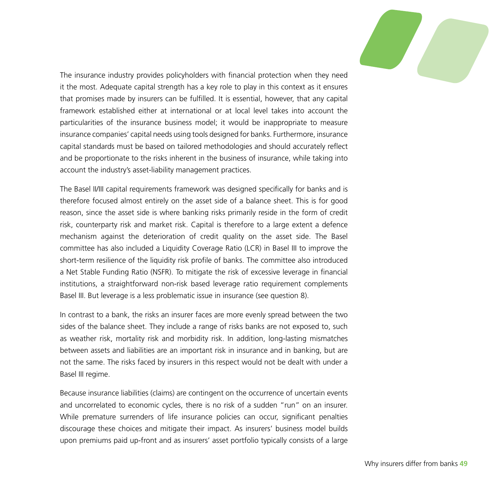

The insurance industry provides policyholders with financial protection when they need it the most. Adequate capital strength has a key role to play in this context as it ensures that promises made by insurers can be fulfilled. It is essential, however, that any capital framework established either at international or at local level takes into account the particularities of the insurance business model; it would be inappropriate to measure insurance companies' capital needs using tools designed for banks. Furthermore, insurance capital standards must be based on tailored methodologies and should accurately reflect and be proportionate to the risks inherent in the business of insurance, while taking into account the industry's asset-liability management practices.

The Basel II/III capital requirements framework was designed specifically for banks and is therefore focused almost entirely on the asset side of a balance sheet. This is for good reason, since the asset side is where banking risks primarily reside in the form of credit risk, counterparty risk and market risk. Capital is therefore to a large extent a defence mechanism against the deterioration of credit quality on the asset side. The Basel committee has also included a Liquidity Coverage Ratio (LCR) in Basel III to improve the short-term resilience of the liquidity risk profile of banks. The committee also introduced a Net Stable Funding Ratio (NSFR). To mitigate the risk of excessive leverage in financial institutions, a straightforward non-risk based leverage ratio requirement complements Basel III. But leverage is a less problematic issue in insurance (see question 8).

In contrast to a bank, the risks an insurer faces are more evenly spread between the two sides of the balance sheet. They include a range of risks banks are not exposed to, such as weather risk, mortality risk and morbidity risk. In addition, long-lasting mismatches between assets and liabilities are an important risk in insurance and in banking, but are not the same. The risks faced by insurers in this respect would not be dealt with under a Basel III regime.

Because insurance liabilities (claims) are contingent on the occurrence of uncertain events and uncorrelated to economic cycles, there is no risk of a sudden "run" on an insurer. While premature surrenders of life insurance policies can occur, significant penalties discourage these choices and mitigate their impact. As insurers' business model builds upon premiums paid up-front and as insurers' asset portfolio typically consists of a large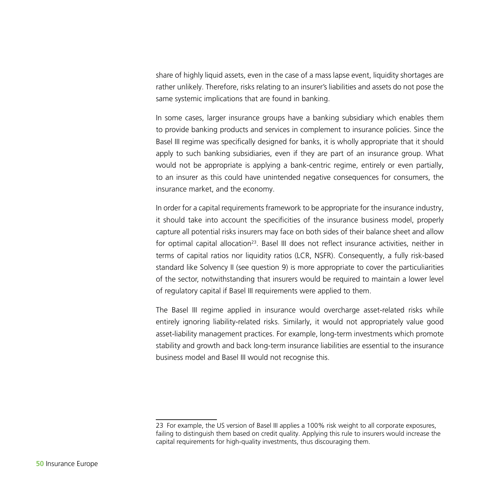share of highly liquid assets, even in the case of a mass lapse event, liquidity shortages are rather unlikely. Therefore, risks relating to an insurer's liabilities and assets do not pose the same systemic implications that are found in banking.

In some cases, larger insurance groups have a banking subsidiary which enables them to provide banking products and services in complement to insurance policies. Since the Basel III regime was specifically designed for banks, it is wholly appropriate that it should apply to such banking subsidiaries, even if they are part of an insurance group. What would not be appropriate is applying a bank-centric regime, entirely or even partially, to an insurer as this could have unintended negative consequences for consumers, the insurance market, and the economy.

In order for a capital requirements framework to be appropriate for the insurance industry, it should take into account the specificities of the insurance business model, properly capture all potential risks insurers may face on both sides of their balance sheet and allow for optimal capital allocation<sup>23</sup>. Basel III does not reflect insurance activities, neither in terms of capital ratios nor liquidity ratios (LCR, NSFR). Consequently, a fully risk-based standard like Solvency II (see question 9) is more appropriate to cover the particuliarities of the sector, notwithstanding that insurers would be required to maintain a lower level of regulatory capital if Basel III requirements were applied to them.

The Basel III regime applied in insurance would overcharge asset-related risks while entirely ignoring liability-related risks. Similarly, it would not appropriately value good asset-liability management practices. For example, long-term investments which promote stability and growth and back long-term insurance liabilities are essential to the insurance business model and Basel III would not recognise this.

<sup>23</sup> For example, the US version of Basel III applies a 100% risk weight to all corporate exposures, failing to distinguish them based on credit quality. Applying this rule to insurers would increase the capital requirements for high-quality investments, thus discouraging them.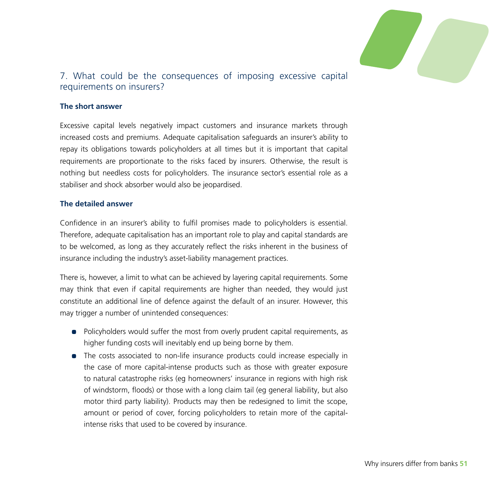

### 7. What could be the consequences of imposing excessive capital requirements on insurers?

#### **The short answer**

Excessive capital levels negatively impact customers and insurance markets through increased costs and premiums. Adequate capitalisation safeguards an insurer's ability to repay its obligations towards policyholders at all times but it is important that capital requirements are proportionate to the risks faced by insurers. Otherwise, the result is nothing but needless costs for policyholders. The insurance sector's essential role as a stabiliser and shock absorber would also be jeopardised.

#### **The detailed answer**

Confidence in an insurer's ability to fulfil promises made to policyholders is essential. Therefore, adequate capitalisation has an important role to play and capital standards are to be welcomed, as long as they accurately reflect the risks inherent in the business of insurance including the industry's asset-liability management practices.

There is, however, a limit to what can be achieved by layering capital requirements. Some may think that even if capital requirements are higher than needed, they would just constitute an additional line of defence against the default of an insurer. However, this may trigger a number of unintended consequences:

- Policyholders would suffer the most from overly prudent capital requirements, as higher funding costs will inevitably end up being borne by them.
- The costs associated to non-life insurance products could increase especially in the case of more capital-intense products such as those with greater exposure to natural catastrophe risks (eg homeowners' insurance in regions with high risk of windstorm, floods) or those with a long claim tail (eg general liability, but also motor third party liability). Products may then be redesigned to limit the scope, amount or period of cover, forcing policyholders to retain more of the capitalintense risks that used to be covered by insurance.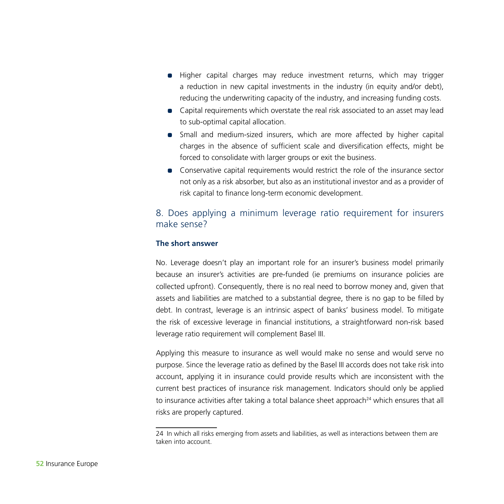- Higher capital charges may reduce investment returns, which may trigger a reduction in new capital investments in the industry (in equity and/or debt), reducing the underwriting capacity of the industry, and increasing funding costs.
- Capital requirements which overstate the real risk associated to an asset may lead to sub-optimal capital allocation.
- Small and medium-sized insurers, which are more affected by higher capital charges in the absence of sufficient scale and diversification effects, might be forced to consolidate with larger groups or exit the business.
- Conservative capital requirements would restrict the role of the insurance sector not only as a risk absorber, but also as an institutional investor and as a provider of risk capital to finance long-term economic development.

#### 8. Does applying a minimum leverage ratio requirement for insurers make sense?

#### **The short answer**

No. Leverage doesn't play an important role for an insurer's business model primarily because an insurer's activities are pre-funded (ie premiums on insurance policies are collected upfront). Consequently, there is no real need to borrow money and, given that assets and liabilities are matched to a substantial degree, there is no gap to be filled by debt. In contrast, leverage is an intrinsic aspect of banks' business model. To mitigate the risk of excessive leverage in financial institutions, a straightforward non-risk based leverage ratio requirement will complement Basel III.

Applying this measure to insurance as well would make no sense and would serve no purpose. Since the leverage ratio as defined by the Basel III accords does not take risk into account, applying it in insurance could provide results which are inconsistent with the current best practices of insurance risk management. Indicators should only be applied to insurance activities after taking a total balance sheet approach $^{24}$  which ensures that all risks are properly captured.

<sup>24</sup> In which all risks emerging from assets and liabilities, as well as interactions between them are taken into account.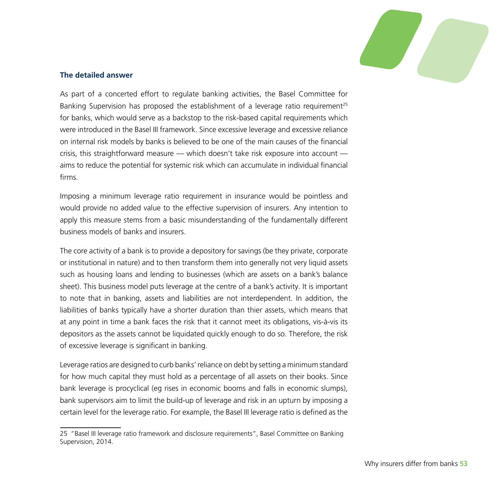

#### **The detailed answer**

As part of a concerted effort to regulate banking activities, the Basel Committee for Banking Supervision has proposed the establishment of a leverage ratio requirement<sup>25</sup> for banks, which would serve as a backstop to the risk-based capital requirements which were introduced in the Basel III framework. Since excessive leverage and excessive reliance on internal risk models by banks is believed to be one of the main causes of the financial crisis, this straightforward measure — which doesn't take risk exposure into account aims to reduce the potential for systemic risk which can accumulate in individual financial firms.

Imposing a minimum leverage ratio requirement in insurance would be pointless and would provide no added value to the effective supervision of insurers. Any intention to apply this measure stems from a basic misunderstanding of the fundamentally different business models of banks and insurers.

The core activity of a bank is to provide a depository for savings (be they private, corporate or institutional in nature) and to then transform them into generally not very liquid assets such as housing loans and lending to businesses (which are assets on a bank's balance sheet). This business model puts leverage at the centre of a bank's activity. It is important to note that in banking, assets and liabilities are not interdependent. In addition, the liabilities of banks typically have a shorter duration than thier assets, which means that at any point in time a bank faces the risk that it cannot meet its obligations, vis-à-vis its depositors as the assets cannot be liquidated quickly enough to do so. Therefore, the risk of excessive leverage is significant in banking.

Leverage ratios are designed to curb banks' reliance on debt by setting a minimum standard for how much capital they must hold as a percentage of all assets on their books. Since bank leverage is procyclical (eg rises in economic booms and falls in economic slumps), bank supervisors aim to limit the build-up of leverage and risk in an upturn by imposing a certain level for the leverage ratio. For example, the Basel III leverage ratio is defined as the

<sup>25</sup> "Basel III leverage ratio framework and disclosure requirements", Basel Committee on Banking Supervision, 2014.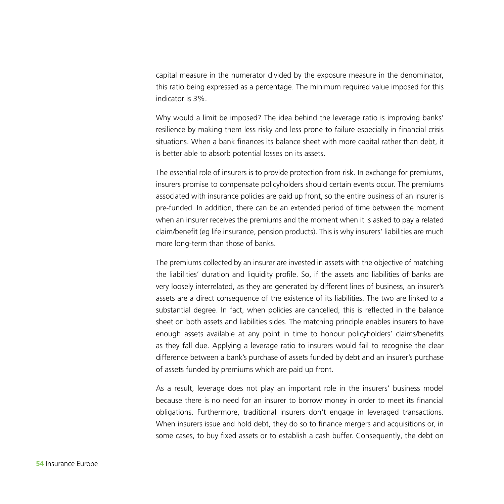capital measure in the numerator divided by the exposure measure in the denominator, this ratio being expressed as a percentage. The minimum required value imposed for this indicator is 3%.

Why would a limit be imposed? The idea behind the leverage ratio is improving banks' resilience by making them less risky and less prone to failure especially in financial crisis situations. When a bank finances its balance sheet with more capital rather than debt, it is better able to absorb potential losses on its assets.

The essential role of insurers is to provide protection from risk. In exchange for premiums, insurers promise to compensate policyholders should certain events occur. The premiums associated with insurance policies are paid up front, so the entire business of an insurer is pre-funded. In addition, there can be an extended period of time between the moment when an insurer receives the premiums and the moment when it is asked to pay a related claim/benefit (eg life insurance, pension products). This is why insurers' liabilities are much more long-term than those of banks.

The premiums collected by an insurer are invested in assets with the objective of matching the liabilities' duration and liquidity profile. So, if the assets and liabilities of banks are very loosely interrelated, as they are generated by different lines of business, an insurer's assets are a direct consequence of the existence of its liabilities. The two are linked to a substantial degree. In fact, when policies are cancelled, this is reflected in the balance sheet on both assets and liabilities sides. The matching principle enables insurers to have enough assets available at any point in time to honour policyholders' claims/benefits as they fall due. Applying a leverage ratio to insurers would fail to recognise the clear difference between a bank's purchase of assets funded by debt and an insurer's purchase of assets funded by premiums which are paid up front.

As a result, leverage does not play an important role in the insurers' business model because there is no need for an insurer to borrow money in order to meet its financial obligations. Furthermore, traditional insurers don't engage in leveraged transactions. When insurers issue and hold debt, they do so to finance mergers and acquisitions or, in some cases, to buy fixed assets or to establish a cash buffer. Consequently, the debt on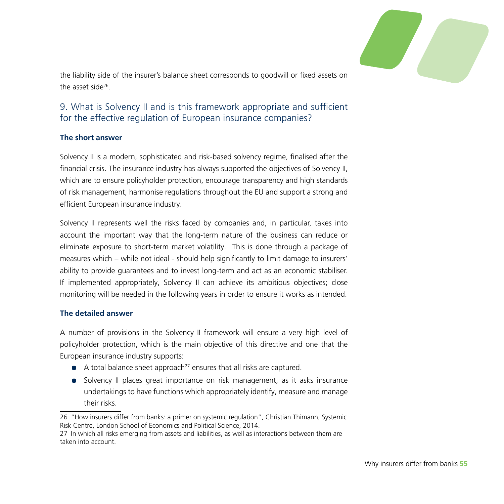

the liability side of the insurer's balance sheet corresponds to goodwill or fixed assets on the asset side<sup>26</sup>

#### 9. What is Solvency II and is this framework appropriate and sufficient for the effective regulation of European insurance companies?

#### **The short answer**

Solvency II is a modern, sophisticated and risk-based solvency regime, finalised after the financial crisis. The insurance industry has always supported the objectives of Solvency II, which are to ensure policyholder protection, encourage transparency and high standards of risk management, harmonise regulations throughout the EU and support a strong and efficient European insurance industry.

Solvency II represents well the risks faced by companies and, in particular, takes into account the important way that the long-term nature of the business can reduce or eliminate exposure to short-term market volatility. This is done through a package of measures which – while not ideal - should help significantly to limit damage to insurers' ability to provide guarantees and to invest long-term and act as an economic stabiliser. If implemented appropriately, Solvency II can achieve its ambitious objectives; close monitoring will be needed in the following years in order to ensure it works as intended.

#### **The detailed answer**

A number of provisions in the Solvency II framework will ensure a very high level of policyholder protection, which is the main objective of this directive and one that the European insurance industry supports:

- $\bullet$  A total balance sheet approach<sup>27</sup> ensures that all risks are captured.
- Solvency II places great importance on risk management, as it asks insurance undertakings to have functions which appropriately identify, measure and manage their risks.

<sup>26</sup> "How insurers differ from banks: a primer on systemic regulation", Christian Thimann, Systemic Risk Centre, London School of Economics and Political Science, 2014.

<sup>27</sup> In which all risks emerging from assets and liabilities, as well as interactions between them are taken into account.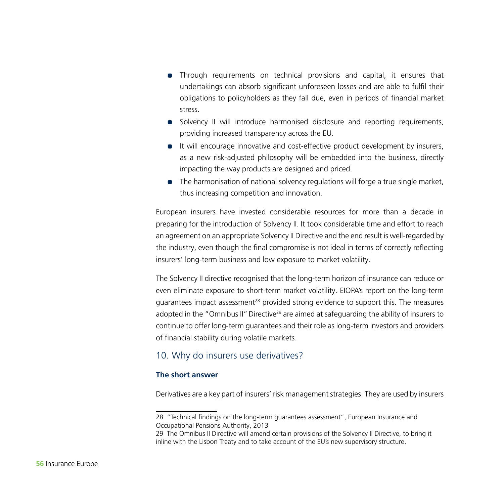- Through requirements on technical provisions and capital, it ensures that undertakings can absorb significant unforeseen losses and are able to fulfil their obligations to policyholders as they fall due, even in periods of financial market stress.
- Solvency II will introduce harmonised disclosure and reporting requirements, providing increased transparency across the EU.
- It will encourage innovative and cost-effective product development by insurers, as a new risk-adjusted philosophy will be embedded into the business, directly impacting the way products are designed and priced.
- The harmonisation of national solvency regulations will forge a true single market, thus increasing competition and innovation.

European insurers have invested considerable resources for more than a decade in preparing for the introduction of Solvency II. It took considerable time and effort to reach an agreement on an appropriate Solvency II Directive and the end result is well-regarded by the industry, even though the final compromise is not ideal in terms of correctly reflecting insurers' long-term business and low exposure to market volatility.

The Solvency II directive recognised that the long-term horizon of insurance can reduce or even eliminate exposure to short-term market volatility. EIOPA's report on the long-term quarantees impact assessment<sup>28</sup> provided strong evidence to support this. The measures adopted in the "Omnibus II" Directive<sup>29</sup> are aimed at safeguarding the ability of insurers to continue to offer long-term guarantees and their role as long-term investors and providers of financial stability during volatile markets.

#### 10. Why do insurers use derivatives?

#### **The short answer**

Derivatives are a key part of insurers' risk management strategies. They are used by insurers

<sup>28</sup> "Technical findings on the long-term guarantees assessment", European Insurance and Occupational Pensions Authority, 2013

<sup>29</sup> The Omnibus II Directive will amend certain provisions of the Solvency II Directive, to bring it inline with the Lisbon Treaty and to take account of the EU's new supervisory structure.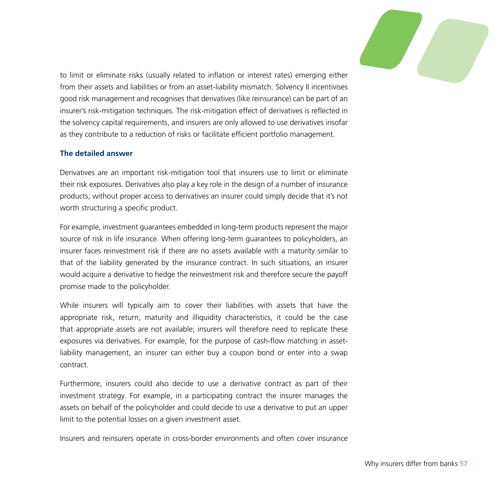

to limit or eliminate risks (usually related to inflation or interest rates) emerging either from their assets and liabilities or from an asset-liability mismatch. Solvency II incentivises good risk management and recognises that derivatives (like reinsurance) can be part of an insurer's risk-mitigation techniques. The risk-mitigation effect of derivatives is reflected in the solvency capital requirements, and insurers are only allowed to use derivatives insofar as they contribute to a reduction of risks or facilitate efficient portfolio management.

#### **The detailed answer**

Derivatives are an important risk-mitigation tool that insurers use to limit or eliminate their risk exposures. Derivatives also play a key role in the design of a number of insurance products; without proper access to derivatives an insurer could simply decide that it's not worth structuring a specific product.

For example, investment guarantees embedded in long-term products represent the major source of risk in life insurance. When offering long-term guarantees to policyholders, an insurer faces reinvestment risk if there are no assets available with a maturity similar to that of the liability generated by the insurance contract. In such situations, an insurer would acquire a derivative to hedge the reinvestment risk and therefore secure the payoff promise made to the policyholder.

While insurers will typically aim to cover their liabilities with assets that have the appropriate risk, return, maturity and illiquidity characteristics, it could be the case that appropriate assets are not available; insurers will therefore need to replicate these exposures via derivatives. For example, for the purpose of cash-flow matching in assetliability management, an insurer can either buy a coupon bond or enter into a swap contract.

Furthermore, insurers could also decide to use a derivative contract as part of their investment strategy. For example, in a participating contract the insurer manages the assets on behalf of the policyholder and could decide to use a derivative to put an upper limit to the potential losses on a given investment asset.

Insurers and reinsurers operate in cross-border environments and often cover insurance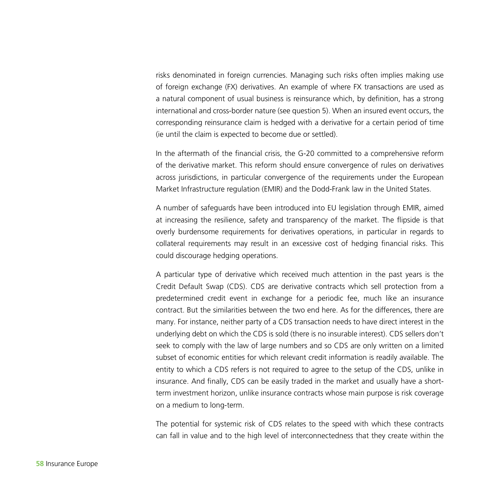risks denominated in foreign currencies. Managing such risks often implies making use of foreign exchange (FX) derivatives. An example of where FX transactions are used as a natural component of usual business is reinsurance which, by definition, has a strong international and cross-border nature (see question 5). When an insured event occurs, the corresponding reinsurance claim is hedged with a derivative for a certain period of time (ie until the claim is expected to become due or settled).

In the aftermath of the financial crisis, the G-20 committed to a comprehensive reform of the derivative market. This reform should ensure convergence of rules on derivatives across jurisdictions, in particular convergence of the requirements under the European Market Infrastructure regulation (EMIR) and the Dodd-Frank law in the United States.

A number of safeguards have been introduced into EU legislation through EMIR, aimed at increasing the resilience, safety and transparency of the market. The flipside is that overly burdensome requirements for derivatives operations, in particular in regards to collateral requirements may result in an excessive cost of hedging financial risks. This could discourage hedging operations.

A particular type of derivative which received much attention in the past years is the Credit Default Swap (CDS). CDS are derivative contracts which sell protection from a predetermined credit event in exchange for a periodic fee, much like an insurance contract. But the similarities between the two end here. As for the differences, there are many. For instance, neither party of a CDS transaction needs to have direct interest in the underlying debt on which the CDS is sold (there is no insurable interest). CDS sellers don't seek to comply with the law of large numbers and so CDS are only written on a limited subset of economic entities for which relevant credit information is readily available. The entity to which a CDS refers is not required to agree to the setup of the CDS, unlike in insurance. And finally, CDS can be easily traded in the market and usually have a shortterm investment horizon, unlike insurance contracts whose main purpose is risk coverage on a medium to long-term.

The potential for systemic risk of CDS relates to the speed with which these contracts can fall in value and to the high level of interconnectedness that they create within the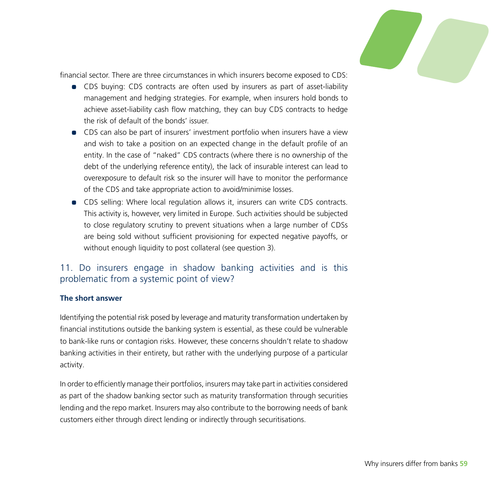

financial sector. There are three circumstances in which insurers become exposed to CDS:

- CDS buying: CDS contracts are often used by insurers as part of asset-liability management and hedging strategies. For example, when insurers hold bonds to achieve asset-liability cash flow matching, they can buy CDS contracts to hedge the risk of default of the bonds' issuer.
- CDS can also be part of insurers' investment portfolio when insurers have a view and wish to take a position on an expected change in the default profile of an entity. In the case of "naked" CDS contracts (where there is no ownership of the debt of the underlying reference entity), the lack of insurable interest can lead to overexposure to default risk so the insurer will have to monitor the performance of the CDS and take appropriate action to avoid/minimise losses.
- CDS selling: Where local regulation allows it, insurers can write CDS contracts. This activity is, however, very limited in Europe. Such activities should be subjected to close regulatory scrutiny to prevent situations when a large number of CDSs are being sold without sufficient provisioning for expected negative payoffs, or without enough liquidity to post collateral (see question 3).

#### 11. Do insurers engage in shadow banking activities and is this problematic from a systemic point of view?

#### **The short answer**

Identifying the potential risk posed by leverage and maturity transformation undertaken by financial institutions outside the banking system is essential, as these could be vulnerable to bank-like runs or contagion risks. However, these concerns shouldn't relate to shadow banking activities in their entirety, but rather with the underlying purpose of a particular activity.

In order to efficiently manage their portfolios, insurers may take part in activities considered as part of the shadow banking sector such as maturity transformation through securities lending and the repo market. Insurers may also contribute to the borrowing needs of bank customers either through direct lending or indirectly through securitisations.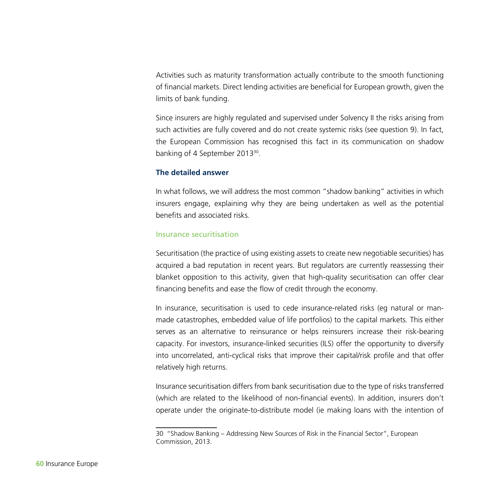Activities such as maturity transformation actually contribute to the smooth functioning of financial markets. Direct lending activities are beneficial for European growth, given the limits of bank funding.

Since insurers are highly regulated and supervised under Solvency II the risks arising from such activities are fully covered and do not create systemic risks (see question 9). In fact, the European Commission has recognised this fact in its communication on shadow banking of 4 September 2013<sup>30</sup>.

#### **The detailed answer**

In what follows, we will address the most common "shadow banking" activities in which insurers engage, explaining why they are being undertaken as well as the potential benefits and associated risks.

#### Insurance securitisation

Securitisation (the practice of using existing assets to create new negotiable securities) has acquired a bad reputation in recent years. But regulators are currently reassessing their blanket opposition to this activity, given that high-quality securitisation can offer clear financing benefits and ease the flow of credit through the economy.

In insurance, securitisation is used to cede insurance-related risks (eg natural or manmade catastrophes, embedded value of life portfolios) to the capital markets. This either serves as an alternative to reinsurance or helps reinsurers increase their risk-bearing capacity. For investors, insurance-linked securities (ILS) offer the opportunity to diversify into uncorrelated, anti-cyclical risks that improve their capital/risk profile and that offer relatively high returns.

Insurance securitisation differs from bank securitisation due to the type of risks transferred (which are related to the likelihood of non-financial events). In addition, insurers don't operate under the originate-to-distribute model (ie making loans with the intention of

<sup>30</sup> "Shadow Banking – Addressing New Sources of Risk in the Financial Sector", European Commission, 2013.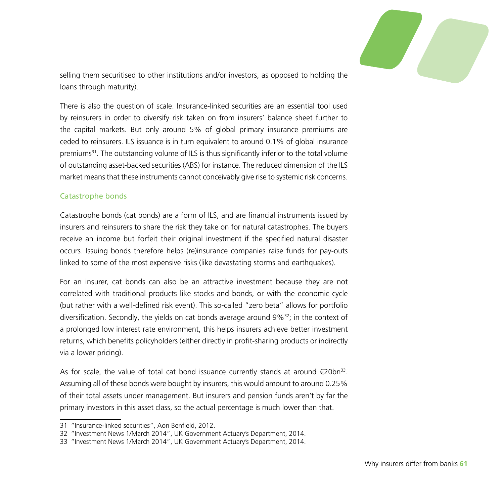

selling them securitised to other institutions and/or investors, as opposed to holding the loans through maturity).

There is also the question of scale. Insurance-linked securities are an essential tool used by reinsurers in order to diversify risk taken on from insurers' balance sheet further to the capital markets. But only around 5% of global primary insurance premiums are ceded to reinsurers. ILS issuance is in turn equivalent to around 0.1% of global insurance premiums<sup>31</sup>. The outstanding volume of ILS is thus significantly inferior to the total volume of outstanding asset-backed securities (ABS) for instance. The reduced dimension of the ILS market means that these instruments cannot conceivably give rise to systemic risk concerns.

#### Catastrophe bonds

Catastrophe bonds (cat bonds) are a form of ILS, and are financial instruments issued by insurers and reinsurers to share the risk they take on for natural catastrophes. The buyers receive an income but forfeit their original investment if the specified natural disaster occurs. Issuing bonds therefore helps (re)insurance companies raise funds for pay-outs linked to some of the most expensive risks (like devastating storms and earthquakes).

For an insurer, cat bonds can also be an attractive investment because they are not correlated with traditional products like stocks and bonds, or with the economic cycle (but rather with a well-defined risk event). This so-called "zero beta" allows for portfolio diversification. Secondly, the yields on cat bonds average around  $9\frac{632}{2}$ ; in the context of a prolonged low interest rate environment, this helps insurers achieve better investment returns, which benefits policyholders (either directly in profit-sharing products or indirectly via a lower pricing).

As for scale, the value of total cat bond issuance currently stands at around  $\epsilon$ 20bn<sup>33</sup>. Assuming all of these bonds were bought by insurers, this would amount to around 0.25% of their total assets under management. But insurers and pension funds aren't by far the primary investors in this asset class, so the actual percentage is much lower than that.

<sup>31</sup> "Insurance-linked securities", Aon Benfield, 2012.

<sup>32</sup> "Investment News 1/March 2014", UK Government Actuary's Department, 2014.

<sup>33</sup> "Investment News 1/March 2014", UK Government Actuary's Department, 2014.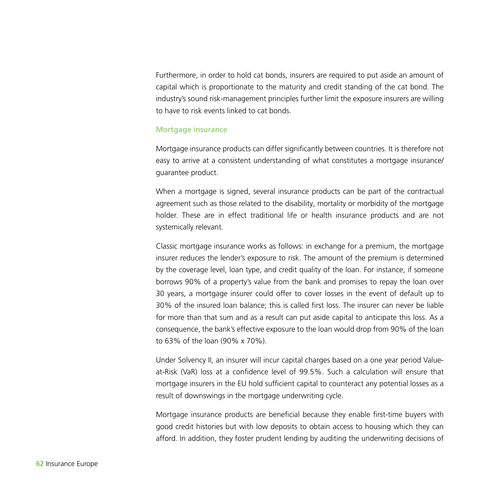Furthermore, in order to hold cat bonds, insurers are required to put aside an amount of capital which is proportionate to the maturity and credit standing of the cat bond. The industry's sound risk-management principles further limit the exposure insurers are willing to have to risk events linked to cat bonds.

#### Mortgage insurance

Mortgage insurance products can differ significantly between countries. It is therefore not easy to arrive at a consistent understanding of what constitutes a mortgage insurance/ guarantee product.

When a mortgage is signed, several insurance products can be part of the contractual agreement such as those related to the disability, mortality or morbidity of the mortgage holder. These are in effect traditional life or health insurance products and are not systemically relevant.

Classic mortgage insurance works as follows: in exchange for a premium, the mortgage insurer reduces the lender's exposure to risk. The amount of the premium is determined by the coverage level, loan type, and credit quality of the loan. For instance, if someone borrows 90% of a property's value from the bank and promises to repay the loan over 30 years, a mortgage insurer could offer to cover losses in the event of default up to 30% of the insured loan balance; this is called first loss. The insurer can never be liable for more than that sum and as a result can put aside capital to anticipate this loss. As a consequence, the bank's effective exposure to the loan would drop from 90% of the loan to 63% of the loan (90% x 70%).

Under Solvency II, an insurer will incur capital charges based on a one year period Valueat-Risk (VaR) loss at a confidence level of 99.5%. Such a calculation will ensure that mortgage insurers in the EU hold sufficient capital to counteract any potential losses as a result of downswings in the mortgage underwriting cycle.

Mortgage insurance products are beneficial because they enable first-time buyers with good credit histories but with low deposits to obtain access to housing which they can afford. In addition, they foster prudent lending by auditing the underwriting decisions of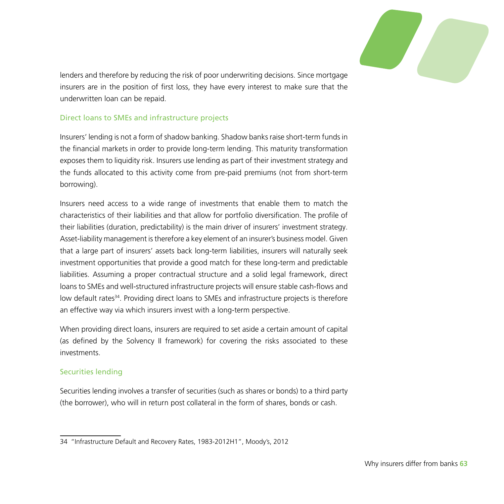

lenders and therefore by reducing the risk of poor underwriting decisions. Since mortgage insurers are in the position of first loss, they have every interest to make sure that the underwritten loan can be repaid.

#### Direct loans to SMEs and infrastructure projects

Insurers' lending is not a form of shadow banking. Shadow banks raise short-term funds in the financial markets in order to provide long-term lending. This maturity transformation exposes them to liquidity risk. Insurers use lending as part of their investment strategy and the funds allocated to this activity come from pre-paid premiums (not from short-term borrowing).

Insurers need access to a wide range of investments that enable them to match the characteristics of their liabilities and that allow for portfolio diversification. The profile of their liabilities (duration, predictability) is the main driver of insurers' investment strategy. Asset-liability management is therefore a key element of an insurer's business model. Given that a large part of insurers' assets back long-term liabilities, insurers will naturally seek investment opportunities that provide a good match for these long-term and predictable liabilities. Assuming a proper contractual structure and a solid legal framework, direct loans to SMEs and well-structured infrastructure projects will ensure stable cash-flows and low default rates<sup>34</sup>. Providing direct loans to SMEs and infrastructure projects is therefore an effective way via which insurers invest with a long-term perspective.

When providing direct loans, insurers are required to set aside a certain amount of capital (as defined by the Solvency II framework) for covering the risks associated to these investments.

#### Securities lending

Securities lending involves a transfer of securities (such as shares or bonds) to a third party (the borrower), who will in return post collateral in the form of shares, bonds or cash.

<sup>34</sup> "Infrastructure Default and Recovery Rates, 1983-2012H1", Moody's, 2012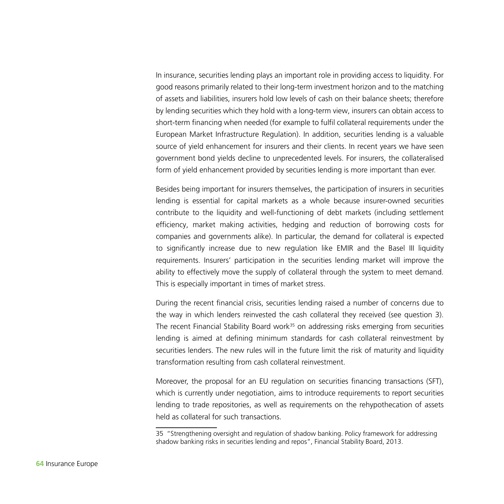In insurance, securities lending plays an important role in providing access to liquidity. For good reasons primarily related to their long-term investment horizon and to the matching of assets and liabilities, insurers hold low levels of cash on their balance sheets; therefore by lending securities which they hold with a long-term view, insurers can obtain access to short-term financing when needed (for example to fulfil collateral requirements under the European Market Infrastructure Regulation). In addition, securities lending is a valuable source of yield enhancement for insurers and their clients. In recent years we have seen government bond yields decline to unprecedented levels. For insurers, the collateralised form of yield enhancement provided by securities lending is more important than ever.

Besides being important for insurers themselves, the participation of insurers in securities lending is essential for capital markets as a whole because insurer-owned securities contribute to the liquidity and well-functioning of debt markets (including settlement efficiency, market making activities, hedging and reduction of borrowing costs for companies and governments alike). In particular, the demand for collateral is expected to significantly increase due to new regulation like EMIR and the Basel III liquidity requirements. Insurers' participation in the securities lending market will improve the ability to effectively move the supply of collateral through the system to meet demand. This is especially important in times of market stress.

During the recent financial crisis, securities lending raised a number of concerns due to the way in which lenders reinvested the cash collateral they received (see question 3). The recent Financial Stability Board work $35$  on addressing risks emerging from securities lending is aimed at defining minimum standards for cash collateral reinvestment by securities lenders. The new rules will in the future limit the risk of maturity and liquidity transformation resulting from cash collateral reinvestment.

Moreover, the proposal for an EU regulation on securities financing transactions (SFT), which is currently under negotiation, aims to introduce requirements to report securities lending to trade repositories, as well as requirements on the rehypothecation of assets held as collateral for such transactions.

<sup>35</sup> "Strengthening oversight and regulation of shadow banking. Policy framework for addressing shadow banking risks in securities lending and repos", Financial Stability Board, 2013.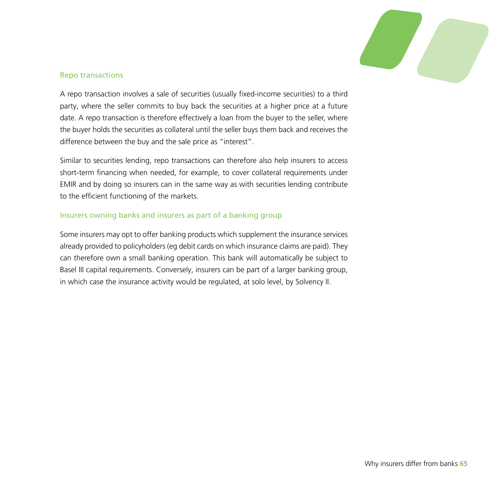

#### Repo transactions

A repo transaction involves a sale of securities (usually fixed-income securities) to a third party, where the seller commits to buy back the securities at a higher price at a future date. A repo transaction is therefore effectively a loan from the buyer to the seller, where the buyer holds the securities as collateral until the seller buys them back and receives the difference between the buy and the sale price as "interest".

Similar to securities lending, repo transactions can therefore also help insurers to access short-term financing when needed, for example, to cover collateral requirements under EMIR and by doing so insurers can in the same way as with securities lending contribute to the efficient functioning of the markets.

#### Insurers owning banks and insurers as part of a banking group

Some insurers may opt to offer banking products which supplement the insurance services already provided to policyholders (eg debit cards on which insurance claims are paid). They can therefore own a small banking operation. This bank will automatically be subject to Basel III capital requirements. Conversely, insurers can be part of a larger banking group, in which case the insurance activity would be regulated, at solo level, by Solvency II.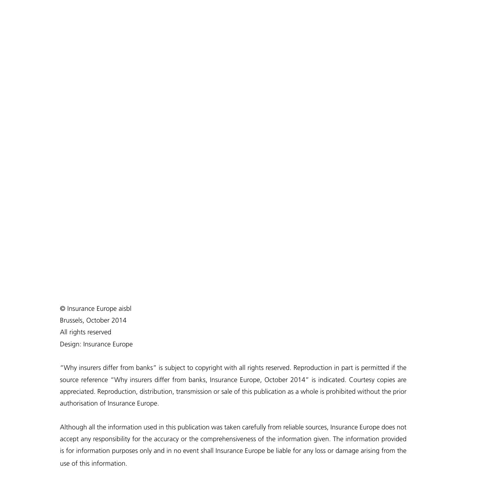© Insurance Europe aisbl Brussels, October 2014 All rights reserved Design: Insurance Europe

"Why insurers differ from banks" is subject to copyright with all rights reserved. Reproduction in part is permitted if the source reference "Why insurers differ from banks, Insurance Europe, October 2014" is indicated. Courtesy copies are appreciated. Reproduction, distribution, transmission or sale of this publication as a whole is prohibited without the prior authorisation of Insurance Europe.

Although all the information used in this publication was taken carefully from reliable sources, Insurance Europe does not accept any responsibility for the accuracy or the comprehensiveness of the information given. The information provided is for information purposes only and in no event shall Insurance Europe be liable for any loss or damage arising from the use of this information.